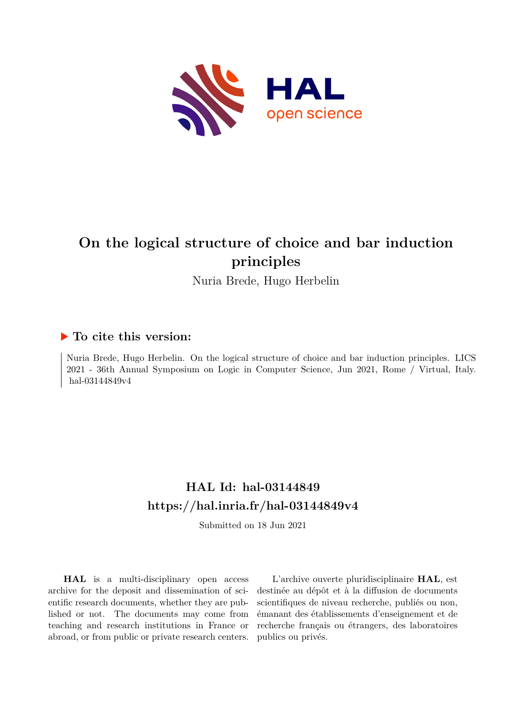

## **On the logical structure of choice and bar induction principles**

Nuria Brede, Hugo Herbelin

### **To cite this version:**

Nuria Brede, Hugo Herbelin. On the logical structure of choice and bar induction principles. LICS 2021 - 36th Annual Symposium on Logic in Computer Science, Jun 2021, Rome / Virtual, Italy. hal-03144849v4

## **HAL Id: hal-03144849 <https://hal.inria.fr/hal-03144849v4>**

Submitted on 18 Jun 2021

**HAL** is a multi-disciplinary open access archive for the deposit and dissemination of scientific research documents, whether they are published or not. The documents may come from teaching and research institutions in France or abroad, or from public or private research centers.

L'archive ouverte pluridisciplinaire **HAL**, est destinée au dépôt et à la diffusion de documents scientifiques de niveau recherche, publiés ou non, émanant des établissements d'enseignement et de recherche français ou étrangers, des laboratoires publics ou privés.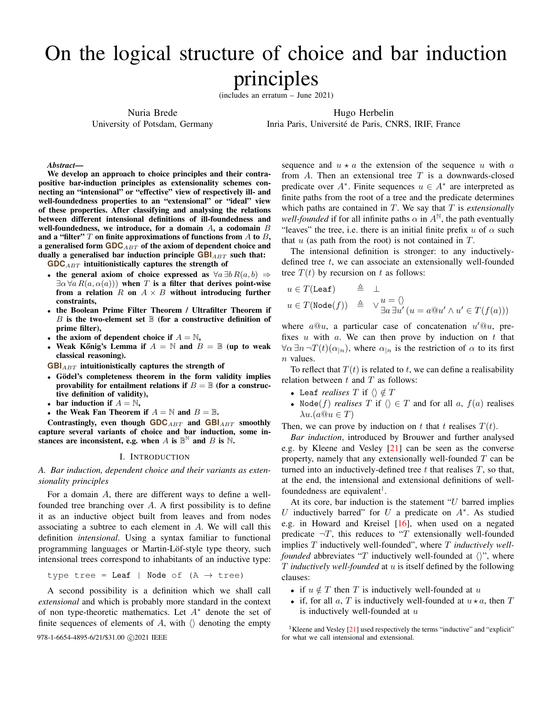# On the logical structure of choice and bar induction principles

(includes an erratum – June 2021)

Nuria Brede

University of Potsdam, Germany

Hugo Herbelin

Inria Paris, Université de Paris, CNRS, IRIF, France

*Abstract*—

We develop an approach to choice principles and their contrapositive bar-induction principles as extensionality schemes connecting an "intensional" or "effective" view of respectively ill- and well-foundedness properties to an "extensional" or "ideal" view of these properties. After classifying and analysing the relations between different intensional definitions of ill-foundedness and well-foundedness, we introduce, for a domain  $A$ , a codomain  $B$ and a "filter"  $T$  on finite approximations of functions from  $A$  to  $B$ , a generalised form **GDC**<sub>ABT</sub> of the axiom of dependent choice and dually a generalised bar induction principle  $GBI_{ABT}$  such that:

**GDC**ABT intuitionistically captures the strength of

- the general axiom of choice expressed as  $\forall a \exists b R(a, b) \Rightarrow$  $\exists \alpha \forall a R(a, \alpha(a))$  when T is a filter that derives point-wise from a relation  $R$  on  $A \times B$  without introducing further constraints,
- the Boolean Prime Filter Theorem / Ultrafilter Theorem if B is the two-element set  $\mathbb B$  (for a constructive definition of prime filter),
- the axiom of dependent choice if  $A = \mathbb{N}$ ,
- Weak Kőnig's Lemma if  $A = \mathbb{N}$  and  $B = \mathbb{B}$  (up to weak classical reasoning).

**GBI**<sub>ABT</sub> intuitionistically captures the strength of

- Gödel's completeness theorem in the form validity implies provability for entailment relations if  $B = \mathbb{B}$  (for a constructive definition of validity),
- bar induction if  $A = \mathbb{N}$ ,
- the Weak Fan Theorem if  $A = \mathbb{N}$  and  $B = \mathbb{B}$ .

Contrastingly, even though **GDC**ABT and **GBI**ABT smoothly capture several variants of choice and bar induction, some instances are inconsistent, e.g. when A is  $\mathbb{B}^{\mathbb{N}}$  and B is N.

#### I. INTRODUCTION

*A. Bar induction, dependent choice and their variants as extensionality principles*

For a domain A, there are different ways to define a wellfounded tree branching over  $A$ . A first possibility is to define it as an inductive object built from leaves and from nodes associating a subtree to each element in A. We will call this definition *intensional*. Using a syntax familiar to functional programming languages or Martin-Löf-style type theory, such intensional trees correspond to inhabitants of an inductive type:

type tree = Leaf | Node of  $(A \rightarrow tree)$ 

A second possibility is a definition which we shall call *extensional* and which is probably more standard in the context of non type-theoretic mathematics. Let  $A^*$  denote the set of finite sequences of elements of A, with  $\langle \rangle$  denoting the empty 978-1-6654-4895-6/21/\$31.00 C 2021 IEEE for what we call intensional and extensional.

sequence and  $u \star a$  the extension of the sequence u with a from  $A$ . Then an extensional tree  $T$  is a downwards-closed predicate over  $A^*$ . Finite sequences  $u \in A^*$  are interpreted as finite paths from the root of a tree and the predicate determines which paths are contained in T. We say that T is *extensionally well-founded* if for all infinite paths  $\alpha$  in  $A^{\mathbb{N}}$ , the path eventually "leaves" the tree, i.e. there is an initial finite prefix u of  $\alpha$  such that  $u$  (as path from the root) is not contained in  $T$ .

The intensional definition is stronger: to any inductivelydefined tree  $t$ , we can associate an extensionally well-founded tree  $T(t)$  by recursion on t as follows:

$$
u \in T(\mathtt{Leaf}) \qquad \triangleq \quad \bot
$$
  

$$
u \in T(\mathtt{Node}(f)) \qquad \triangleq \qquad \vee \frac{u = \langle \rangle}{\exists a \exists u' \, (u = a @ u' \land u' \in T(f(a)))}
$$

where  $a@u$ , a particular case of concatenation  $u'@u$ , prefixes  $u$  with  $a$ . We can then prove by induction on  $t$  that  $\forall \alpha \exists n \neg T(t)(\alpha_{n})$ , where  $\alpha_{n}$  is the restriction of  $\alpha$  to its first  $n$  values.

To reflect that  $T(t)$  is related to t, we can define a realisability relation between  $t$  and  $T$  as follows:

- Leaf *realises*  $T$  if  $\langle \rangle \notin T$
- Node(f) *realises* T if  $\langle \rangle \in T$  and for all a,  $f(a)$  realises  $\lambda u.(a@u \in T)$

Then, we can prove by induction on t that t realises  $T(t)$ .

*Bar induction*, introduced by Brouwer and further analysed e.g. by Kleene and Vesley [21] can be seen as the converse property, namely that any extensionally well-founded  $T$  can be turned into an inductively-defined tree  $t$  that realises  $T$ , so that, at the end, the intensional and extensional definitions of wellfoundedness are equivalent<sup>1</sup>.

At its core, bar induction is the statement " $U$  barred implies U inductively barred" for U a predicate on  $A^*$ . As studied e.g. in Howard and Kreisel  $[16]$ , when used on a negated predicate  $\neg T$ , this reduces to "T extensionally well-founded implies T inductively well-founded", where T *inductively wellfounded* abbreviates "T inductively well-founded at  $\langle \rangle$ ", where T *inductively well-founded* at u is itself defined by the following clauses:

- if  $u \notin T$  then T is inductively well-founded at u
- if, for all a, T is inductively well-founded at  $u \star a$ , then T is inductively well-founded at  $u$

<sup>&</sup>lt;sup>1</sup>Kleene and Vesley  $\lceil 21 \rceil$  used respectively the terms "inductive" and "explicit"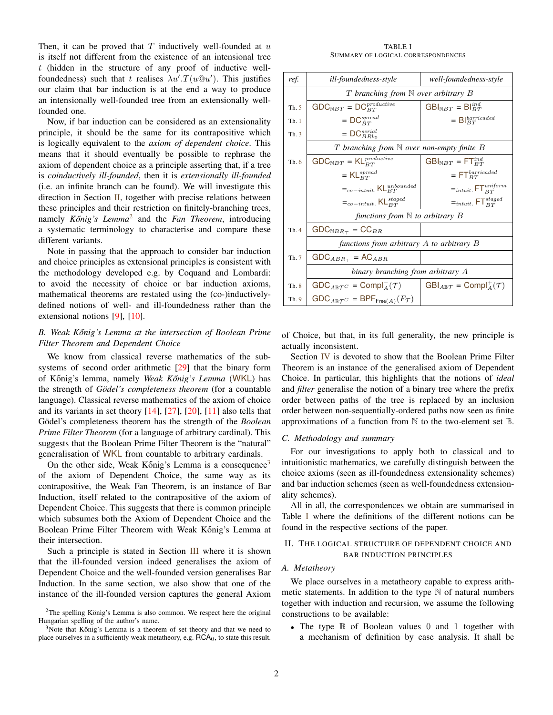Then, it can be proved that  $T$  inductively well-founded at  $u$ is itself not different from the existence of an intensional tree t (hidden in the structure of any proof of inductive wellfoundedness) such that t realises  $\lambda u'.T(u@u')$ . This justifies our claim that bar induction is at the end a way to produce an intensionally well-founded tree from an extensionally wellfounded one.

Now, if bar induction can be considered as an extensionality principle, it should be the same for its contrapositive which is logically equivalent to the *axiom of dependent choice*. This means that it should eventually be possible to rephrase the axiom of dependent choice as a principle asserting that, if a tree is *coinductively ill-founded*, then it is *extensionally ill-founded* (i.e. an infinite branch can be found). We will investigate this direction in Section  $II$ , together with precise relations between these principles and their restriction on finitely-branching trees, namely *Kőnig's Lemma*<sup>2</sup> and the *Fan Theorem*, introducing a systematic terminology to characterise and compare these different variants.

Note in passing that the approach to consider bar induction and choice principles as extensional principles is consistent with the methodology developed e.g. by Coquand and Lombardi: to avoid the necessity of choice or bar induction axioms, mathematical theorems are restated using the (co-)inductivelydefined notions of well- and ill-foundedness rather than the extensional notions [9], [10].

#### *B. Weak K ˝onig's Lemma at the intersection of Boolean Prime Filter Theorem and Dependent Choice*

We know from classical reverse mathematics of the subsystems of second order arithmetic [29] that the binary form of Kőnig's lemma, namely *Weak Kőnig's Lemma* (WKL) has the strength of *Gödel's completeness theorem* (for a countable language). Classical reverse mathematics of the axiom of choice and its variants in set theory  $[14]$ ,  $[27]$ ,  $[20]$ ,  $[11]$  also tells that Gödel's completeness theorem has the strength of the *Boolean Prime Filter Theorem* (for a language of arbitrary cardinal). This suggests that the Boolean Prime Filter Theorem is the "natural" generalisation of WKL from countable to arbitrary cardinals.

On the other side, Weak Kőnig's Lemma is a consequence<sup>3</sup> of the axiom of Dependent Choice, the same way as its contrapositive, the Weak Fan Theorem, is an instance of Bar Induction, itself related to the contrapositive of the axiom of Dependent Choice. This suggests that there is common principle which subsumes both the Axiom of Dependent Choice and the Boolean Prime Filter Theorem with Weak Kőnig's Lemma at their intersection.

Such a principle is stated in Section III where it is shown that the ill-founded version indeed generalises the axiom of Dependent Choice and the well-founded version generalises Bar Induction. In the same section, we also show that one of the instance of the ill-founded version captures the general Axiom

TABLE I SUMMARY OF LOGICAL CORRESPONDENCES

| ref.  | ill-foundedness-style                                             | well-foundedness-style                             |
|-------|-------------------------------------------------------------------|----------------------------------------------------|
|       | T branching from $\mathbb N$ over arbitrary B                     |                                                    |
| Th. 5 | $\mathsf{GDC}_{\mathbb{N}BT}=\mathsf{DC}_{BT}^{productive}$       | $\text{GBI}_{\text{N}BT}$ = $\text{BI}_{BT}^{ind}$ |
| Th.1  | $=$ DC <sup>spread</sup>                                          | $=$ Bl $_{BT}^{baricated}$                         |
| Th.3  | $=$ DC <sub>B</sub> <sub>B<sub>bo</sub></sub>                     |                                                    |
|       | T branching from $\mathbb N$ over non-empty finite $B$            |                                                    |
| Th. 6 | $\mathsf{GDC}_{\mathbb{N}BT}=\mathsf{KL}_{BT}^{productive}$       | $GBI_{\mathbb{N}BT}$ = $FT_{BT}^{ind}$             |
|       | $=$ KL <sup>spread</sup>                                          | $=$ $FTBT bar raded$                               |
|       | $=_{{co-intuit}}}$ KL <sub>BT</sub>                               | $=$ <sub>intuit.</sub> FT $_{BT}^{uniform}$        |
|       | $=_{co-intuit.}$ KL <sup>staged</sup>                             | $=$ <sub>intuit.</sub> FT <sup>staged</sup>        |
|       | functions from $\mathbb N$ to arbitrary $B$                       |                                                    |
| Th.4  | $\mathsf{GDC}_{\mathbb{N} BR_\top} = \mathsf{CC}_{BR}$            |                                                    |
|       | functions from arbitrary $A$ to arbitrary $B$                     |                                                    |
| Th. 7 | $GDC_{ABR_{\top}} = AC_{ABR}$                                     |                                                    |
|       | binary branching from arbitrary A                                 |                                                    |
| Th. 8 | $GDC_{ABTC} = ComplA-(T)$                                         | $GBI_{ABT} = ComplA+(T)$                           |
| Th. 9 | $GDC_{A\mathbb{B}\mathcal{T}^C} = BPF_{Free(A)}(F_{\mathcal{T}})$ |                                                    |

of Choice, but that, in its full generality, the new principle is actually inconsistent.

Section IV is devoted to show that the Boolean Prime Filter Theorem is an instance of the generalised axiom of Dependent Choice. In particular, this highlights that the notions of *ideal* and *filter* generalise the notion of a binary tree where the prefix order between paths of the tree is replaced by an inclusion order between non-sequentially-ordered paths now seen as finite approximations of a function from  $\mathbb N$  to the two-element set  $\mathbb B$ .

#### *C. Methodology and summary*

For our investigations to apply both to classical and to intuitionistic mathematics, we carefully distinguish between the choice axioms (seen as ill-foundedness extensionality schemes) and bar induction schemes (seen as well-foundedness extensionality schemes).

All in all, the correspondences we obtain are summarised in Table I where the definitions of the different notions can be found in the respective sections of the paper.

#### II. THE LOGICAL STRUCTURE OF DEPENDENT CHOICE AND BAR INDUCTION PRINCIPLES

#### *A. Metatheory*

We place ourselves in a metatheory capable to express arithmetic statements. In addition to the type  $\mathbb N$  of natural numbers together with induction and recursion, we assume the following constructions to be available:

• The type  $\mathbb B$  of Boolean values 0 and 1 together with a mechanism of definition by case analysis. It shall be

 $2$ The spelling König's Lemma is also common. We respect here the original Hungarian spelling of the author's name.

 $3$ Note that Kőnig's Lemma is a theorem of set theory and that we need to place ourselves in a sufficiently weak metatheory, e.g.  $RCA<sub>0</sub>$ , to state this result.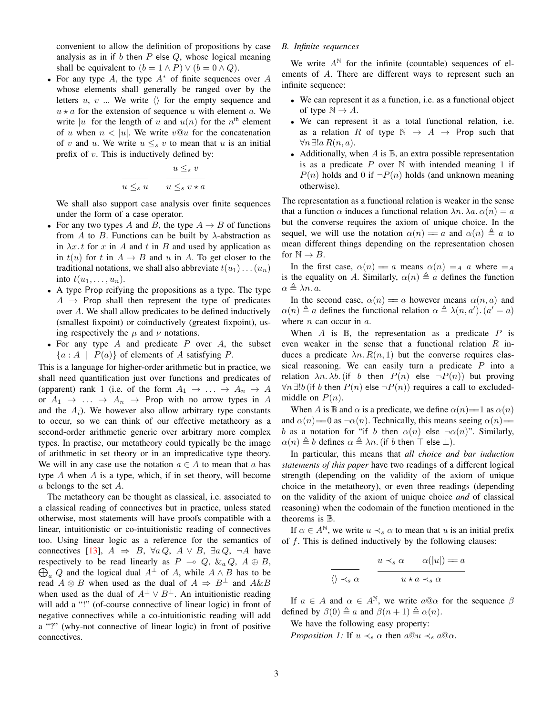convenient to allow the definition of propositions by case analysis as in if b then  $P$  else  $Q$ , whose logical meaning shall be equivalent to  $(b = 1 \land P) \lor (b = 0 \land Q)$ .

• For any type A, the type  $A^*$  of finite sequences over A whose elements shall generally be ranged over by the letters  $u, v, w$ ... We write  $\langle \rangle$  for the empty sequence and  $u \star a$  for the extension of sequence u with element a. We write |u| for the length of u and  $u(n)$  for the  $n<sup>th</sup>$  element of u when  $n < |u|$ . We write  $v@u$  for the concatenation of v and u. We write  $u \leq_s v$  to mean that u is an initial prefix of  $v$ . This is inductively defined by:

$$
\frac{u \leq_s v}{u \leq_s v \star a}
$$

We shall also support case analysis over finite sequences under the form of a case operator.

- For any two types A and B, the type  $A \rightarrow B$  of functions from A to B. Functions can be built by  $\lambda$ -abstraction as in  $\lambda x. t$  for x in A and t in B and used by application as in  $t(u)$  for t in  $A \rightarrow B$  and u in A. To get closer to the traditional notations, we shall also abbreviate  $t(u_1) \dots (u_n)$ into  $t(u_1, \ldots, u_n)$ .
- A type Prop reifying the propositions as a type. The type  $A \rightarrow$  Prop shall then represent the type of predicates over A. We shall allow predicates to be defined inductively (smallest fixpoint) or coinductively (greatest fixpoint), using respectively the  $\mu$  and  $\nu$  notations.
- For any type  $A$  and predicate  $P$  over  $A$ , the subset  ${a : A | P(a)}$  of elements of A satisfying P.

This is a language for higher-order arithmetic but in practice, we shall need quantification just over functions and predicates of (apparent) rank 1 (i.e. of the form  $A_1 \rightarrow \ldots \rightarrow A_n \rightarrow A$ or  $A_1 \rightarrow \ldots \rightarrow A_n \rightarrow$  Prop with no arrow types in A and the  $A_i$ ). We however also allow arbitrary type constants to occur, so we can think of our effective metatheory as a second-order arithmetic generic over arbitrary more complex types. In practise, our metatheory could typically be the image of arithmetic in set theory or in an impredicative type theory. We will in any case use the notation  $a \in A$  to mean that a has type  $A$  when  $A$  is a type, which, if in set theory, will become a belongs to the set A.

The metatheory can be thought as classical, i.e. associated to a classical reading of connectives but in practice, unless stated otherwise, most statements will have proofs compatible with a linear, intuitionistic or co-intuitionistic reading of connectives too. Using linear logic as a reference for the semantics of connectives [13],  $A \Rightarrow B$ ,  $\forall a \, Q$ ,  $A \lor B$ ,  $\exists a \, Q$ ,  $\neg A$  have respectively to be read linearly as  $P \multimap Q$ ,  $\& {}_a Q$ ,  $A \oplus B$ ,  $\bigoplus_a Q$  and the logical dual  $A^{\perp}$  of A, while  $A \wedge B$  has to be read  $A \otimes B$  when used as the dual of  $A \Rightarrow B^{\perp}$  and  $A \& B$ when used as the dual of  $A^{\perp} \vee B^{\perp}$ . An intuitionistic reading will add a "!" (of-course connective of linear logic) in front of negative connectives while a co-intuitionistic reading will add a "?" (why-not connective of linear logic) in front of positive connectives.

#### *B. Infinite sequences*

We write  $A^{\mathbb{N}}$  for the infinite (countable) sequences of elements of A. There are different ways to represent such an infinite sequence:

- We can represent it as a function, i.e. as a functional object of type  $\mathbb{N} \to A$ .
- We can represent it as a total functional relation, i.e. as a relation R of type  $\mathbb{N} \to A \to$  Prop such that  $\forall n \exists ! a R(n, a).$
- Additionally, when  $A$  is  $\mathbb{B}$ , an extra possible representation is as a predicate  $P$  over  $N$  with intended meaning 1 if  $P(n)$  holds and 0 if  $\neg P(n)$  holds (and unknown meaning otherwise).

The representation as a functional relation is weaker in the sense that a function  $\alpha$  induces a functional relation  $\lambda n$ .  $\lambda a$ .  $\alpha(n) = a$ but the converse requires the axiom of unique choice. In the sequel, we will use the notation  $\alpha(n) = a$  and  $\alpha(n) \triangleq a$  to mean different things depending on the representation chosen for  $\mathbb{N} \to B$ .

In the first case,  $\alpha(n) = a$  means  $\alpha(n) = A$  a where  $= A$ is the equality on A. Similarly,  $\alpha(n) \triangleq a$  defines the function  $\alpha \triangleq \lambda n$ . a.

In the second case,  $\alpha(n) = a$  however means  $\alpha(n, a)$  and  $\alpha(n) \triangleq a$  defines the functional relation  $\alpha \triangleq \lambda(n, a')$ .  $(a' = a)$ where  $n$  can occur in  $a$ .

When  $A$  is  $B$ , the representation as a predicate  $P$  is even weaker in the sense that a functional relation  $R$  induces a predicate  $\lambda n. R(n, 1)$  but the converse requires classical reasoning. We can easily turn a predicate  $P$  into a relation  $\lambda n$ .  $\lambda b$ . (if b then  $P(n)$  else  $\neg P(n)$ ) but proving  $\forall n \exists ! b$  (if b then  $P(n)$  else  $\neg P(n)$ ) requires a call to excludedmiddle on  $P(n)$ .

When A is B and  $\alpha$  is a predicate, we define  $\alpha(n)=1$  as  $\alpha(n)$ and  $\alpha(n)$  = 0 as  $\neg \alpha(n)$ . Technically, this means seeing  $\alpha(n)$  = b as a notation for "if b then  $\alpha(n)$  else  $\neg \alpha(n)$ ". Similarly,  $\alpha(n) \triangleq b$  defines  $\alpha \triangleq \lambda n$ . (if b then  $\top$  else  $\bot$ ).

In particular, this means that *all choice and bar induction statements of this paper* have two readings of a different logical strength (depending on the validity of the axiom of unique choice in the metatheory), or even three readings (depending on the validity of the axiom of unique choice *and* of classical reasoning) when the codomain of the function mentioned in the theorems is B.

If  $\alpha \in A^{\mathbb{N}}$ , we write  $u \prec_s \alpha$  to mean that u is an initial prefix of  $f$ . This is defined inductively by the following clauses:

$$
\frac{u \prec_s \alpha \qquad \alpha(|u|) = a}{u \star a \prec_s \alpha}
$$

If  $a \in A$  and  $\alpha \in A^{\mathbb{N}}$ , we write  $a@ \alpha$  for the sequence  $\beta$ defined by  $\beta(0) \triangleq a$  and  $\beta(n+1) \triangleq \alpha(n)$ .

We have the following easy property:

 $\frac{1}{\langle \rangle}$ 

*Proposition 1:* If  $u \prec_s \alpha$  then  $a@u \prec_s a@ \alpha$ .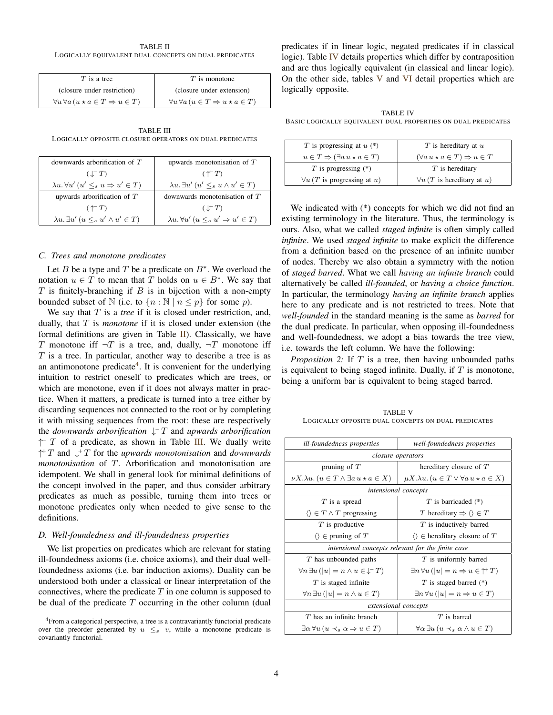| TABLE II                                              |  |  |
|-------------------------------------------------------|--|--|
| LOGICALLY EQUIVALENT DUAL CONCEPTS ON DUAL PREDICATES |  |  |

| $T$ is a tree                                                 | $T$ is monotone                                               |
|---------------------------------------------------------------|---------------------------------------------------------------|
| (closure under restriction)                                   | (closure under extension)                                     |
| $\forall u \forall a \ (u \star a \in T \Rightarrow u \in T)$ | $\forall u \forall a \ (u \in T \Rightarrow u \star a \in T)$ |

TABLE III LOGICALLY OPPOSITE CLOSURE OPERATORS ON DUAL PREDICATES

| downwards arborification of $T$                            | upwards monotonisation of $T$                                |
|------------------------------------------------------------|--------------------------------------------------------------|
| $(\downarrow^{-}T)$                                        | $(\uparrow^+ T)$                                             |
| $\lambda u. \forall u' (u' \leq_s u \Rightarrow u' \in T)$ | $\lambda u. \exists u' (u' \leq_s u \wedge u' \in T)$        |
| upwards arborification of $T$                              | downwards monotonisation of $T$                              |
| $(\uparrow \neg T)$                                        | $(\perp^+ T)$                                                |
| $\lambda u. \exists u' \ (u \leq_s u' \land u' \in T)$     | $\lambda u. \forall u' \ (u \leq_s u' \Rightarrow u' \in T)$ |

#### *C. Trees and monotone predicates*

Let B be a type and T be a predicate on  $B^*$ . We overload the notation  $u \in T$  to mean that T holds on  $u \in B^*$ . We say that  $T$  is finitely-branching if  $B$  is in bijection with a non-empty bounded subset of  $\mathbb N$  (i.e. to  $\{n : \mathbb N \mid n \leq p\}$  for some p).

We say that T is a *tree* if it is closed under restriction, and, dually, that T is *monotone* if it is closed under extension (the formal definitions are given in Table  $II$ ). Classically, we have T monotone iff  $\neg T$  is a tree, and, dually,  $\neg T$  monotone iff  $T$  is a tree. In particular, another way to describe a tree is as an antimonotone predicate<sup>4</sup>. It is convenient for the underlying intuition to restrict oneself to predicates which are trees, or which are monotone, even if it does not always matter in practice. When it matters, a predicate is turned into a tree either by discarding sequences not connected to the root or by completing it with missing sequences from the root: these are respectively the *downwards arborification* ↓ <sup>−</sup> T and *upwards arborification*  $\uparrow$  T of a predicate, as shown in Table III. We dually write ↑ <sup>+</sup> T and ↓ <sup>+</sup> T for the *upwards monotonisation* and *downwards monotonisation* of T. Arborification and monotonisation are idempotent. We shall in general look for minimal definitions of the concept involved in the paper, and thus consider arbitrary predicates as much as possible, turning them into trees or monotone predicates only when needed to give sense to the definitions.

#### *D. Well-foundedness and ill-foundedness properties*

We list properties on predicates which are relevant for stating ill-foundedness axioms (i.e. choice axioms), and their dual wellfoundedness axioms (i.e. bar induction axioms). Duality can be understood both under a classical or linear interpretation of the connectives, where the predicate  $T$  in one column is supposed to be dual of the predicate  $T$  occurring in the other column (dual predicates if in linear logic, negated predicates if in classical logic). Table IV details properties which differ by contraposition and are thus logically equivalent (in classical and linear logic). On the other side, tables V and VI detail properties which are logically opposite.

TABLE IV BASIC LOGICALLY EQUIVALENT DUAL PROPERTIES ON DUAL PREDICATES

| T is progressing at $u$ (*)                          | $T$ is hereditary at $u$                          |
|------------------------------------------------------|---------------------------------------------------|
| $u \in T \Rightarrow (\exists a \, u \star a \in T)$ | $(\forall a u \star a \in T) \Rightarrow u \in T$ |
| $T$ is progressing $(*)$                             | $T$ is hereditary                                 |
| $\forall u$ ( <i>T</i> is progressing at <i>u</i> )  | $\forall u$ (T is hereditary at u)                |

We indicated with (\*) concepts for which we did not find an existing terminology in the literature. Thus, the terminology is ours. Also, what we called *staged infinite* is often simply called *infinite*. We used *staged infinite* to make explicit the difference from a definition based on the presence of an infinite number of nodes. Thereby we also obtain a symmetry with the notion of *staged barred*. What we call *having an infinite branch* could alternatively be called *ill-founded*, or *having a choice function*. In particular, the terminology *having an infinite branch* applies here to any predicate and is not restricted to trees. Note that *well-founded* in the standard meaning is the same as *barred* for the dual predicate. In particular, when opposing ill-foundedness and well-foundedness, we adopt a bias towards the tree view, i.e. towards the left column. We have the following:

*Proposition 2:* If T is a tree, then having unbounded paths is equivalent to being staged infinite. Dually, if  $T$  is monotone, being a uniform bar is equivalent to being staged barred.

TABLE V LOGICALLY OPPOSITE DUAL CONCEPTS ON DUAL PREDICATES

| ill-foundedness properties                                                 | well-foundedness properties                                          |  |
|----------------------------------------------------------------------------|----------------------------------------------------------------------|--|
| closure operators                                                          |                                                                      |  |
| pruning of $T$                                                             | hereditary closure of $T$                                            |  |
| $\nu X.\lambda u.\ (u \in T \wedge \exists a \, u \star a \in X)$          | $\mu X. \lambda u. (u \in T \vee \forall a u \star a \in X)$         |  |
| intensional concepts                                                       |                                                                      |  |
| $T$ is a spread                                                            | $T$ is barricaded $(*)$                                              |  |
| $\langle \rangle \in T \wedge T$ progressing                               | T hereditary $\Rightarrow \langle \rangle \in T$                     |  |
| $T$ is productive                                                          | $T$ is inductively barred                                            |  |
| $\langle \rangle \in$ pruning of T                                         | $\langle \rangle \in$ hereditary closure of T                        |  |
| intensional concepts relevant for the finite case                          |                                                                      |  |
| T has unbounded paths                                                      | $T$ is uniformly barred                                              |  |
| $\forall n \exists u \left(  u  = n \wedge u \in \downarrow^{-} T \right)$ | $\exists n \forall u ( u  = n \Rightarrow u \in \uparrow^{\perp} T)$ |  |
| $T$ is staged infinite                                                     | $T$ is staged barred $(*)$                                           |  |
| $\forall n \exists u ( u  = n \land u \in T)$                              | $\exists n \forall u ( u  = n \Rightarrow u \in T)$                  |  |
| extensional concepts                                                       |                                                                      |  |
| $T$ has an infinite branch                                                 | $T$ is barred                                                        |  |
| $\exists \alpha \forall u \ (u \prec_s \alpha \Rightarrow u \in T)$        | $\forall \alpha \exists u \, (u \prec_s \alpha \land u \in T)$       |  |

<sup>&</sup>lt;sup>4</sup>From a categorical perspective, a tree is a contravariantly functorial predicate over the preorder generated by  $u \leq_s v$ , while a monotone predicate is covariantly functorial.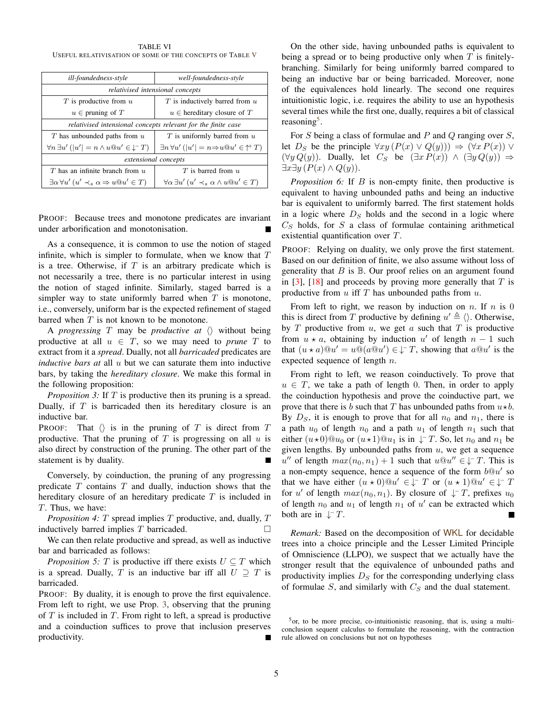TABLE VI USEFUL RELATIVISATION OF SOME OF THE CONCEPTS OF TABLE V

| ill-foundedness-style                                                         | well-foundedness-style                                                |  |
|-------------------------------------------------------------------------------|-----------------------------------------------------------------------|--|
| relativised intensional concepts                                              |                                                                       |  |
| $T$ is productive from $u$                                                    | $T$ is inductively barred from $u$                                    |  |
| $u \in$ pruning of T                                                          | $u \in$ hereditary closure of T                                       |  |
| relativised intensional concepts relevant for the finite case                 |                                                                       |  |
| $T$ has unbounded paths from $u$                                              | $T$ is uniformly barred from $u$                                      |  |
| $\forall n \exists u' ( u'  = n \wedge u @ u' \in \downarrow^{\mathsf{T}} T)$ | $\exists n \forall u' ( u'  = n \Rightarrow u @ u' \in \uparrow^+ T)$ |  |
| extensional concepts                                                          |                                                                       |  |
| $T$ has an infinite branch from $u$                                           | $T$ is barred from $u$                                                |  |
| $\exists \alpha \forall u' (u' \prec_s \alpha \Rightarrow u @ u' \in T)$      | $\forall \alpha \exists u' (u' \prec_s \alpha \wedge u @ u' \in T)$   |  |

PROOF: Because trees and monotone predicates are invariant under arborification and monotonisation.

As a consequence, it is common to use the notion of staged infinite, which is simpler to formulate, when we know that  $T$ is a tree. Otherwise, if  $T$  is an arbitrary predicate which is not necessarily a tree, there is no particular interest in using the notion of staged infinite. Similarly, staged barred is a simpler way to state uniformly barred when  $T$  is monotone, i.e., conversely, uniform bar is the expected refinement of staged barred when  $T$  is not known to be monotone.

A *progressing* T may be *productive at*  $\langle \rangle$  without being productive at all  $u \in T$ , so we may need to *prune* T to extract from it a *spread*. Dually, not all *barricaded* predicates are *inductive bars at* all u but we can saturate them into inductive bars, by taking the *hereditary closure*. We make this formal in the following proposition:

*Proposition 3:* If T is productive then its pruning is a spread. Dually, if  $T$  is barricaded then its hereditary closure is an inductive bar.

PROOF: That  $\langle \rangle$  is in the pruning of T is direct from T productive. That the pruning of  $T$  is progressing on all  $u$  is also direct by construction of the pruning. The other part of the statement is by duality.

Conversely, by coinduction, the pruning of any progressing predicate  $T$  contains  $T$  and dually, induction shows that the hereditary closure of an hereditary predicate  $T$  is included in T. Thus, we have:

*Proposition 4:* T spread implies T productive, and, dually, T inductively barred implies  $T$  barricaded.

We can then relate productive and spread, as well as inductive bar and barricaded as follows:

*Proposition 5:* T is productive iff there exists  $U \subseteq T$  which is a spread. Dually, T is an inductive bar iff all  $U \supseteq T$  is barricaded.

PROOF: By duality, it is enough to prove the first equivalence. From left to right, we use Prop. 3, observing that the pruning of  $T$  is included in  $T$ . From right to left, a spread is productive and a coinduction suffices to prove that inclusion preserves productivity.

On the other side, having unbounded paths is equivalent to being a spread or to being productive only when  $T$  is finitelybranching. Similarly for being uniformly barred compared to being an inductive bar or being barricaded. Moreover, none of the equivalences hold linearly. The second one requires intuitionistic logic, i.e. requires the ability to use an hypothesis several times while the first one, dually, requires a bit of classical reasoning<sup>5</sup>.

For S being a class of formulae and P and Q ranging over  $S$ , let  $D_S$  be the principle  $\forall xy (P(x) \vee Q(y))) \Rightarrow (\forall x P(x)) \vee$  $(\forall y \, Q(y))$ . Dually, let  $C_S$  be  $(\exists x \, P(x)) \land (\exists y \, Q(y)) \Rightarrow$  $\exists x \exists y \, (P(x) \land Q(y)).$ 

*Proposition 6:* If *B* is non-empty finite, then productive is equivalent to having unbounded paths and being an inductive bar is equivalent to uniformly barred. The first statement holds in a logic where  $D<sub>S</sub>$  holds and the second in a logic where  $C<sub>S</sub>$  holds, for S a class of formulae containing arithmetical existential quantification over T.

PROOF: Relying on duality, we only prove the first statement. Based on our definition of finite, we also assume without loss of generality that  $B$  is  $\mathbb B$ . Our proof relies on an argument found in  $[3]$ ,  $[18]$  and proceeds by proving more generally that T is productive from  $u$  iff  $T$  has unbounded paths from  $u$ .

From left to right, we reason by induction on  $n$ . If  $n$  is 0 this is direct from T productive by defining  $u' \triangleq \langle \rangle$ . Otherwise, by  $T$  productive from  $u$ , we get  $a$  such that  $T$  is productive from  $u \star a$ , obtaining by induction u' of length  $n-1$  such that  $(u \star a) @ u' = u @ (a @ u') \in \downarrow^{\perp} T$ , showing that  $a @ u'$  is the expected sequence of length  $n$ .

From right to left, we reason coinductively. To prove that  $u \in T$ , we take a path of length 0. Then, in order to apply the coinduction hypothesis and prove the coinductive part, we prove that there is b such that T has unbounded paths from  $u \star b$ . By  $D<sub>S</sub>$ , it is enough to prove that for all  $n<sub>0</sub>$  and  $n<sub>1</sub>$ , there is a path  $u_0$  of length  $n_0$  and a path  $u_1$  of length  $n_1$  such that either  $(u\star 0)@u_0$  or  $(u\star 1)@u_1$  is in  $\downarrow$  T. So, let  $n_0$  and  $n_1$  be given lengths. By unbounded paths from  $u$ , we get a sequence  $u''$  of length  $max(n_0, n_1) + 1$  such that  $u@u'' \in \downarrow^{\perp} T$ . This is a non-empty sequence, hence a sequence of the form  $b@u'$  so that we have either  $(u \star 0) @u' \in \downarrow^- T$  or  $(u \star 1) @u' \in \downarrow^- T$ for u' of length  $max(n_0, n_1)$ . By closure of  $\downarrow^{\perp}T$ , prefixes  $u_0$ of length  $n_0$  and  $u_1$  of length  $n_1$  of u' can be extracted which both are in  $\downarrow$  T.  $\blacksquare$ 

*Remark:* Based on the decomposition of WKL for decidable trees into a choice principle and the Lesser Limited Principle of Omniscience (LLPO), we suspect that we actually have the stronger result that the equivalence of unbounded paths and productivity implies  $D<sub>S</sub>$  for the corresponding underlying class of formulae  $S$ , and similarly with  $C_S$  and the dual statement.

 $5$ or, to be more precise, co-intuitionistic reasoning, that is, using a multiconclusion sequent calculus to formulate the reasoning, with the contraction rule allowed on conclusions but not on hypotheses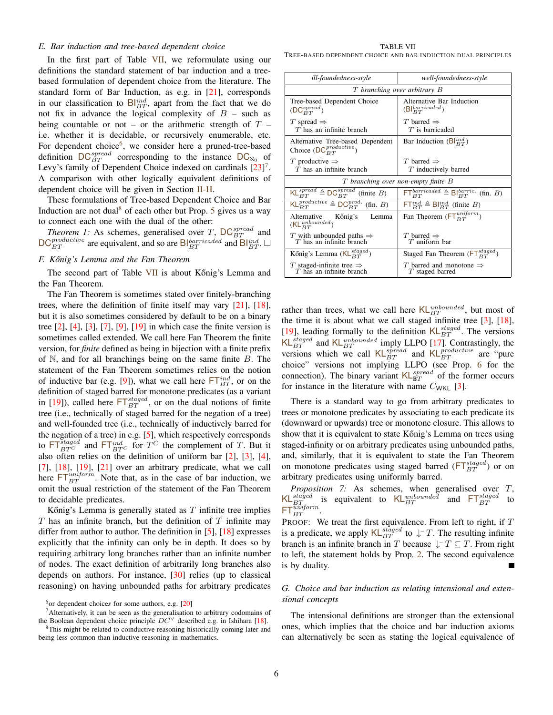#### *E. Bar induction and tree-based dependent choice*

In the first part of Table VII, we reformulate using our definitions the standard statement of bar induction and a treebased formulation of dependent choice from the literature. The standard form of Bar Induction, as e.g. in [21], corresponds in our classification to  $\mathsf{Bl}_{BT}^{ind}$ , apart from the fact that we do not fix in advance the logical complexity of  $B$  – such as being countable or not – or the arithmetic strength of  $T$  – i.e. whether it is decidable, or recursively enumerable, etc. For dependent choice<sup>6</sup>, we consider here a pruned-tree-based definition  $DC_{BT}^{spread}$  corresponding to the instance  $DC_{\aleph_0}$  of Levy's family of Dependent Choice indexed on cardinals  $[23]$ <sup>7</sup>. A comparison with other logically equivalent definitions of dependent choice will be given in Section II-H.

These formulations of Tree-based Dependent Choice and Bar Induction are not dual<sup>8</sup> of each other but Prop. 5 gives us a way to connect each one with the dual of the other:

*Theorem 1:* As schemes, generalised over T,  $DC_{BT}^{spread}$  and  $DC_{BT}^{productive}$  are equivalent, and so are Bl $_{BT}^{baricated}$  and Bl $_{BT}^{ind}$ .  $\Box$ 

#### *F. K ˝onig's Lemma and the Fan Theorem*

The second part of Table VII is about Kőnig's Lemma and the Fan Theorem.

The Fan Theorem is sometimes stated over finitely-branching trees, where the definition of finite itself may vary [21], [18], but it is also sometimes considered by default to be on a binary tree  $[2]$ ,  $[4]$ ,  $[3]$ ,  $[7]$ ,  $[9]$ ,  $[19]$  in which case the finite version is sometimes called extended. We call here Fan Theorem the finite version, for *finite* defined as being in bijection with a finite prefix of  $\mathbb N$ , and for all branchings being on the same finite  $B$ . The statement of the Fan Theorem sometimes relies on the notion of inductive bar (e.g. [9]), what we call here  $\mathsf{FT}_{BT}^{ind}$ , or on the definition of staged barred for monotone predicates (as a variant in [19]), called here  $FT_{BT}^{staged}$ , or on the dual notions of finite tree (i.e., technically of staged barred for the negation of a tree) and well-founded tree (i.e., technically of inductively barred for the negation of a tree) in e.g. [5], which respectively corresponds to  $\mathsf{FT}_{BT^C}^{staged}$  and  $\mathsf{FT}_{BT^C}^{ind}$  for  $T^C$  the complement of T. But it also often relies on the definition of uniform bar [2], [3], [4],  $[7]$ ,  $[18]$ ,  $[19]$ ,  $[21]$  over an arbitrary predicate, what we call here  $FT^{uniform}_{BT}$ . Note that, as in the case of bar induction, we omit the usual restriction of the statement of the Fan Theorem to decidable predicates.

Kőnig's Lemma is generally stated as  $T$  infinite tree implies  $T$  has an infinite branch, but the definition of  $T$  infinite may differ from author to author. The definition in [5], [18] expresses explicitly that the infinity can only be in depth. It does so by requiring arbitrary long branches rather than an infinite number of nodes. The exact definition of arbitrarily long branches also depends on authors. For instance, [30] relies (up to classical reasoning) on having unbounded paths for arbitrary predicates

TABLE VII TREE-BASED DEPENDENT CHOICE AND BAR INDUCTION DUAL PRINCIPLES

| ill-foundedness-style                                                                                                  | well-foundedness-style                                                        |  |
|------------------------------------------------------------------------------------------------------------------------|-------------------------------------------------------------------------------|--|
| T branching over arbitrary B                                                                                           |                                                                               |  |
| Tree-based Dependent Choice<br>$(DC_{BT}^{spread})$                                                                    | Alternative Bar Induction<br>$(B _{BT}^{baricaded})$                          |  |
| T spread $\Rightarrow$<br>$T$ has an infinite branch                                                                   | T barred $\Rightarrow$<br>$T$ is barricaded                                   |  |
| Alternative Tree-based Dependent<br>Choice $(DC_{BT}^{productive})$                                                    | Bar Induction $(BI_{BT}^{ind})$                                               |  |
| T productive $\Rightarrow$                                                                                             | T barred $\Rightarrow$                                                        |  |
| $T$ has an infinite branch                                                                                             | $T$ inductively barred                                                        |  |
| T branching over non-empty finite B                                                                                    |                                                                               |  |
| $KL_{BT}^{spread} \triangleq DC_{BT}^{spread}$ (finite B)                                                              | $\mathsf{FT}_{BT}^{baricated} \triangleq \mathsf{Bl}_{BT}^{barric.}$ (fin. B) |  |
| $\overline{\mathsf{KL}^{\mathit{productive}}_{BT}} \triangleq \mathsf{DC}_{BT}^{\mathit{prod.}}$<br>$(\text{fin. } B)$ | $\mathsf{FT}_{BT}^{ind} \triangleq \mathsf{Bl}_{BT}^{ind}$ (finite B)         |  |
| Alternative Kőnig's<br>Lemma<br>$(KL_{BT}^{unbounded})$                                                                | Fan Theorem ( $FT_{BT}^{uniform}$ )                                           |  |
| T with unbounded paths $\Rightarrow$ T has an infinite branch                                                          | T barred $\Rightarrow$<br>$T$ uniform bar                                     |  |
| Kőnig's Lemma ( $KL_{BT}^{staged}$ )                                                                                   | Staged Fan Theorem ( $\mathsf{FT}_{RT}^{staged}$ )                            |  |
| T staged-infinite tree $\Rightarrow$<br>$T$ has an infinite branch                                                     | T barred and monotone $\Rightarrow$<br>T staged barred                        |  |

rather than trees, what we call here  $KL_{BT}^{unbounded}$ , but most of the time it is about what we call staged infinite tree [3], [18], [19], leading formally to the definition  $KL_{BT}^{staged}$ . The versions KL<sup>staged</sup> and KL $_{BT}^{unbounded}$  imply LLPO [17]. Contrastingly, the versions which we call  $KL_{BT}^{spread}$  and  $KL_{BT}^{productive}$  are "pure choice" versions not implying LLPO (see Prop. 6 for the connection). The binary variant  $KL_{\mathbb{B}T}^{spread}$  of the former occurs for instance in the literature with name  $C_{\text{WKL}}$  [3].

There is a standard way to go from arbitrary predicates to trees or monotone predicates by associating to each predicate its (downward or upwards) tree or monotone closure. This allows to show that it is equivalent to state Kőnig's Lemma on trees using staged-infinity or on arbitrary predicates using unbounded paths, and, similarly, that it is equivalent to state the Fan Theorem on monotone predicates using staged barred ( $FT_{BT}^{staged}$ ) or on arbitrary predicates using uniformly barred.

*Proposition 7:* As schemes, when generalised over T, KL<sup>staged</sup> is equivalent to KL<sup>unbounded</sup> and  $FT_{BT}^{staged}$  to  $\mathsf{FT}_{BT}^{\tilde{\mathit{uniform}}}$ .

PROOF: We treat the first equivalence. From left to right, if  $T$ is a predicate, we apply  $\mathsf{KL}_{BT}^{staged}$  to  $\downarrow$  T. The resulting infinite branch is an infinite branch in T because  $\downarrow$ <sup>-</sup>  $T \subseteq T$ . From right to left, the statement holds by Prop. 2. The second equivalence is by duality.

#### *G. Choice and bar induction as relating intensional and extensional concepts*

The intensional definitions are stronger than the extensional ones, which implies that the choice and bar induction axioms can alternatively be seen as stating the logical equivalence of

<sup>&</sup>lt;sup>6</sup>or dependent choices for some authors, e.g. [20]

<sup>7</sup>Alternatively, it can be seen as the generalisation to arbitrary codomains of the Boolean dependent choice principle  $DC^{\vee}$  described e.g. in Ishihara [18].

<sup>&</sup>lt;sup>8</sup>This might be related to coinductive reasoning historically coming later and being less common than inductive reasoning in mathematics.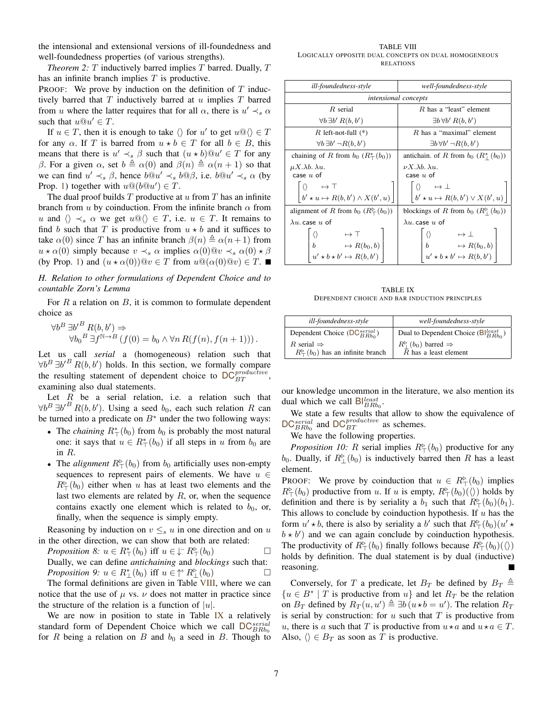the intensional and extensional versions of ill-foundedness and well-foundedness properties (of various strengths).

*Theorem 2: T* inductively barred implies  $T$  barred. Dually,  $T$ has an infinite branch implies  $T$  is productive.

PROOF: We prove by induction on the definition of  $T$  inductively barred that  $T$  inductively barred at  $u$  implies  $T$  barred from u where the latter requires that for all  $\alpha$ , there is  $u' \prec_s \alpha$ such that  $u@u' \in T$ .

If  $u \in T$ , then it is enough to take  $\langle \rangle$  for u' to get  $u \mathbb{Q} \langle \rangle \in T$ for any  $\alpha$ . If T is barred from  $u * b \in T$  for all  $b \in B$ , this means that there is  $u' \prec_s \beta$  such that  $(u * b)@u' \in T$  for any β. For a given  $\alpha$ , set  $b \triangleq \alpha(0)$  and  $\beta(n) \triangleq \alpha(n + 1)$  so that we can find  $u' \prec_s \beta$ , hence  $b@u' \prec_s b@ \beta$ , i.e.  $b@u' \prec_s \alpha$  (by Prop. 1) together with  $u@(b@u') \in T$ .

The dual proof builds  $T$  productive at  $u$  from  $T$  has an infinite branch from  $u$  by coinduction. From the infinite branch  $\alpha$  from u and  $\langle \rangle \prec_s \alpha$  we get  $u \otimes \langle \rangle \in T$ , i.e.  $u \in T$ . It remains to find b such that T is productive from  $u * b$  and it suffices to take  $\alpha(0)$  since T has an infinite branch  $\beta(n) \triangleq \alpha(n+1)$  from  $u \star \alpha(0)$  simply because  $v \prec_s \alpha$  implies  $\alpha(0) @v \prec_s \alpha(0) \star \beta$ (by Prop. 1) and  $(u \star \alpha(0))@v \in T$  from  $u@(\alpha(0)@v) \in T$ .

*H. Relation to other formulations of Dependent Choice and to countable Zorn's Lemma*

For  $R$  a relation on  $B$ , it is common to formulate dependent choice as

$$
\forall b^B \exists b'^B R(b, b') \Rightarrow \forall b_0^B \exists f^{\mathbb{N} \to B} (f(0) = b_0 \land \forall n R(f(n), f(n+1))).
$$

Let us call *serial* a (homogeneous) relation such that  $\forall b^B \exists b^{\prime\,B} R(b, b^{\prime})$  holds. In this section, we formally compare the resulting statement of dependent choice to  $DC_{BT}^{productive}$ , examining also dual statements.

Let  $R$  be a serial relation, i.e. a relation such that  $\forall b^B \exists b'^B R(b, b')$ . Using a seed  $b_0$ , each such relation R can be turned into a predicate on  $B^*$  under the two following ways:

- The *chaining*  $R^*_{\top}(b_0)$  from  $b_0$  is probably the most natural one: it says that  $u \in R^*_{\mathcal{L}}(b_0)$  if all steps in u from  $b_0$  are in R.
- The *alignment*  $R^{\triangleright}_{\top}(b_0)$  from  $b_0$  artificially uses non-empty sequences to represent pairs of elements. We have  $u \in$  $R^{\triangleright}_{\top}(b_0)$  either when u has at least two elements and the last two elements are related by  $R$ , or, when the sequence contains exactly one element which is related to  $b_0$ , or, finally, when the sequence is simply empty.

Reasoning by induction on  $v \leq_s u$  in one direction and on u in the other direction, we can show that both are related:

*Proposition 8:*  $u \in R^*_{\top}(b_0)$  iff  $u \in \downarrow^{\neg} R^{\rhd}_{\top}(b_0)$ Dually, we can define *antichaining* and *blockings* such that: *Proposition 9:*  $u \in R^*_{\perp}(b_0)$  iff  $u \in \uparrow^+ R^{\triangleright}_{\perp}(b_0)$ 

The formal definitions are given in Table VIII, where we can notice that the use of  $\mu$  vs.  $\nu$  does not matter in practice since the structure of the relation is a function of  $|u|$ .

We are now in position to state in Table IX a relatively standard form of Dependent Choice which we call  $DC_{BRb_0}^{serial}$ for R being a relation on B and  $b_0$  a seed in B. Though to

TABLE VIII LOGICALLY OPPOSITE DUAL CONCEPTS ON DUAL HOMOGENEOUS RELATIONS

| ill-foundedness-style                                                                                                                     | well-foundedness-style                                                                                                             |
|-------------------------------------------------------------------------------------------------------------------------------------------|------------------------------------------------------------------------------------------------------------------------------------|
| <i>intensional concepts</i>                                                                                                               |                                                                                                                                    |
| $R$ serial                                                                                                                                | R has a "least" element                                                                                                            |
| $\forall b \exists b' R(b, b')$                                                                                                           | $\exists b \forall b' R(b, b')$                                                                                                    |
| R left-not-full $(*)$                                                                                                                     | $R$ has a "maximal" element                                                                                                        |
| $\forall b \exists b' \neg R(b, b')$                                                                                                      | $\exists b \forall b' \neg R(b, b')$                                                                                               |
| chaining of R from $b_0$ $(R^*_{\top}(b_0))$                                                                                              | antichain. of R from $b_0$ $(R^*_1(b_0))$                                                                                          |
| $\mu X. \lambda b. \lambda u.$                                                                                                            | $\nu X.\lambda b.\, \lambda u.$                                                                                                    |
| case $u$ of                                                                                                                               | case $u$ of                                                                                                                        |
| $\begin{array}{c} \left  \langle \rangle \right. & \mapsto \top \\ b' \star u \mapsto R(b, b') \wedge X(b', u) \end{array} \bigg  \bigg $ | $\begin{bmatrix} \langle \rangle & \mapsto \bot \\ b' \star u \mapsto R(b, b') \vee X(b', u) \end{bmatrix}$                        |
|                                                                                                                                           |                                                                                                                                    |
| alignment of R from $b_0$ ( $R^{\triangleright}_{\top}(b_0)$ )                                                                            | blockings of R from $b_0$ $(R^{\circ}(\mathfrak{b}_0))$                                                                            |
| $\lambda u$ . case $u$ of                                                                                                                 | $\lambda u$ . case $u$ of                                                                                                          |
|                                                                                                                                           |                                                                                                                                    |
|                                                                                                                                           |                                                                                                                                    |
| $\begin{bmatrix} \langle \rangle & \mapsto \top \\ b & \mapsto R(b_0, b) \\ u' \star b \star b' \mapsto R(b, b') \end{bmatrix}$           | $\begin{bmatrix}\n\langle\n\rangle & \mapsto \bot \\ b & \mapsto R(b_0, b) \\ u' \star b \star b' \mapsto R(b, b')\n\end{bmatrix}$ |

TABLE IX DEPENDENT CHOICE AND BAR INDUCTION PRINCIPLES

| ill-foundedness-style                                                                                  | well-foundedness-style                                                                                      |
|--------------------------------------------------------------------------------------------------------|-------------------------------------------------------------------------------------------------------------|
| Dependent Choice ( $\mathsf{DC}_{BRbo}^{serial}$ )                                                     | Dual to Dependent Choice ( $\frac{\text{B}}{\text{B}}$ $\frac{\text{least}}{\text{B}}$ )                    |
| R serial $\Rightarrow$<br>$R^{\triangleright}_{\top}$ ( <i>b</i> <sub>0</sub> ) has an infinite branch | $R_+^{\triangleright}$ ( <i>b</i> <sub>0</sub> ) barred $\Rightarrow$<br>$\overline{R}$ has a least element |

our knowledge uncommon in the literature, we also mention its dual which we call  $B_{BRb_0}^{least}$ .

We state a few results that allow to show the equivalence of  $DC_{BRb_0}^{serial}$  and  $DC_{BT}^{productive}$  as schemes.

We have the following properties.

*Proposition 10:* R serial implies  $R^{\triangleright}_{\top}(b_0)$  productive for any  $b_0$ . Dually, if  $R^{\triangleright}_{\perp}(b_0)$  is inductively barred then R has a least element.

PROOF: We prove by coinduction that  $u \in R^{\triangleright}_{\top}(b_0)$  implies  $R^{\triangleright}_{\top}(b_0)$  productive from u. If u is empty,  $R^{\triangleright}_{\top}(b_0)(\langle\rangle)$  holds by definition and there is by seriality a  $b_1$  such that  $R^{\triangleright}_{\top}(b_0)(b_1)$ . This allows to conclude by coinduction hypothesis. If  $u$  has the form  $u' \star b$ , there is also by seriality a b' such that  $R^{\triangleright}_{\top}$  (b<sub>0</sub>)( $u' \star$  $b \star b'$  and we can again conclude by coinduction hypothesis. The productivity of  $R^{\triangleright}_{\top}(b_0)$  finally follows because  $R^{\triangleright}_{\top}(b_0)(\langle\rangle)$ holds by definition. The dual statement is by dual (inductive) reasoning.

Conversely, for T a predicate, let  $B_T$  be defined by  $B_T \triangleq$  ${u \in B^* \mid T \text{ is productive from } u}$  and let  $R_T$  be the relation on  $B_T$  defined by  $R_T(u, u') \triangleq \exists b (u * b = u')$ . The relation  $R_T$ is serial by construction: for  $u$  such that  $T$  is productive from u, there is a such that T is productive from  $u \star a$  and  $u \star a \in T$ . Also,  $\langle \rangle \in B_T$  as soon as T is productive.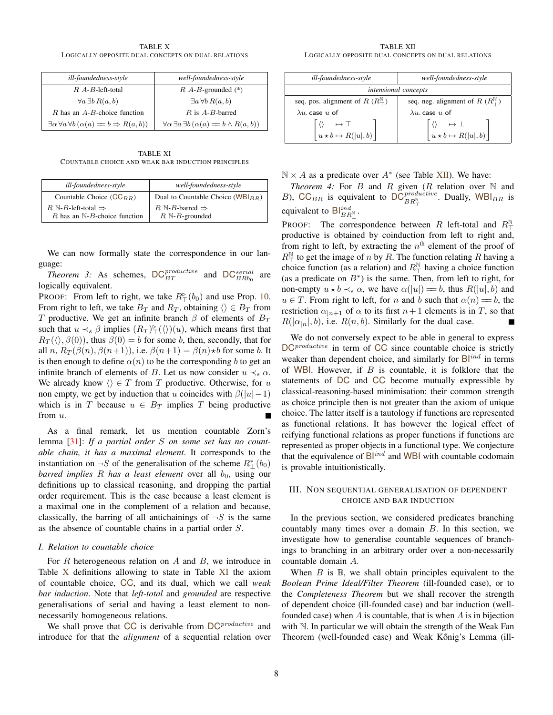TABLE X LOGICALLY OPPOSITE DUAL CONCEPTS ON DUAL RELATIONS

| ill-foundedness-style                                                       | well-foundedness-style                                                |
|-----------------------------------------------------------------------------|-----------------------------------------------------------------------|
| $R$ A-B-left-total                                                          | $R$ A-B-grounded $(*)$                                                |
| $\forall a \exists b \, R(a, b)$                                            | $\exists a \forall b R(a, b)$                                         |
| $R$ has an $A$ - $B$ -choice function                                       | $R$ is $A-B$ -barred                                                  |
| $\exists \alpha \forall a \forall b \, (\alpha(a) = b \Rightarrow R(a, b))$ | $\forall \alpha \exists a \exists b \, (\alpha(a) = b \land R(a, b))$ |

TABLE XI COUNTABLE CHOICE AND WEAK BAR INDUCTION PRINCIPLES

| ill-foundedness-style                                                         | well-foundedness-style                                                        |
|-------------------------------------------------------------------------------|-------------------------------------------------------------------------------|
| Countable Choice $(CC_{BB})$                                                  | Dual to Countable Choice ( $WBl_{BR}$ )                                       |
| $R \mathbb{N}$ -B-left-total $\Rightarrow$<br>R has an $N-B$ -choice function | $R \mathbb{N}$ -B-barred $\Rightarrow$<br>$R \mathbb{N}$ - <i>B</i> -grounded |

We can now formally state the correspondence in our language:

*Theorem 3:* As schemes,  $DC_{BT}^{productive}$  and  $DC_{BRb_0}^{serial}$  are logically equivalent.

PROOF: From left to right, we take  $R^{\triangleright}_{\top}(b_0)$  and use Prop. 10. From right to left, we take  $B_T$  and  $R_T$ , obtaining  $\langle \rangle \in B_T$  from T productive. We get an infinite branch  $\beta$  of elements of  $B_T$ such that  $u \prec_s \beta$  implies  $(R_T)^\triangleright_{\top}(\langle \rangle)(u)$ , which means first that  $R_T(\langle \rangle, \beta(0))$ , thus  $\beta(0) = b$  for some b, then, secondly, that for all n,  $R_T(\beta(n), \beta(n+1))$ , i.e.  $\beta(n+1) = \beta(n) \star b$  for some b. It is then enough to define  $\alpha(n)$  to be the corresponding b to get an infinite branch of elements of B. Let us now consider  $u \prec_s \alpha$ . We already know  $\langle \rangle \in T$  from T productive. Otherwise, for u non empty, we get by induction that u coincides with  $\beta(|u|-1)$ which is in T because  $u \in B_T$  implies T being productive from u.

As a final remark, let us mention countable Zorn's lemma [31]: *If a partial order* S *on some set has no countable chain, it has a maximal element*. It corresponds to the instantiation on  $\neg S$  of the generalisation of the scheme  $R^*_{\perp}(b_0)$ *barred implies*  $R$  *has a least element* over all  $b_0$ , using our definitions up to classical reasoning, and dropping the partial order requirement. This is the case because a least element is a maximal one in the complement of a relation and because, classically, the barring of all antichainings of  $\neg S$  is the same as the absence of countable chains in a partial order S.

#### *I. Relation to countable choice*

For  $R$  heterogeneous relation on  $A$  and  $B$ , we introduce in Table X definitions allowing to state in Table XI the axiom of countable choice, CC, and its dual, which we call *weak bar induction*. Note that *left-total* and *grounded* are respective generalisations of serial and having a least element to nonnecessarily homogeneous relations.

We shall prove that CC is derivable from  $DC^{productive}$  and introduce for that the *alignment* of a sequential relation over

TABLE XII LOGICALLY OPPOSITE DUAL CONCEPTS ON DUAL RELATIONS

| ill-foundedness-style                                                                              | well-foundedness-style                                 |
|----------------------------------------------------------------------------------------------------|--------------------------------------------------------|
| intensional concepts                                                                               |                                                        |
| seq. pos. alignment of R $(R_+^{\mathbb{N}})$                                                      | seq. neg. alignment of R $(R_+^{\mathbb{N}})$          |
| $\lambda u$ case u of                                                                              | $\lambda u$ case u of                                  |
| $\begin{array}{ccc}\n\langle & \rangle & \mapsto \top \\ u \star b \mapsto R( u , b)\n\end{array}$ | $\begin{vmatrix} u & b & b \\ u & b & b \end{vmatrix}$ |

 $N \times A$  as a predicate over  $A^*$  (see Table XII). We have:

*Theorem 4:* For  $B$  and  $R$  given  $(R$  relation over  $N$  and B), CC<sub>BR</sub> is equivalent to  $\overline{OC}_{BR_N^{\mathbb{N}}}^{productive}$ . Dually, WBI<sub>BR</sub> is equivalent to  $\mathsf{Bl}^{\text{ind}}_{BR^{\scriptscriptstyle{\mathbb{N}}}_{\perp}}$ .

PROOF: The correspondence between R left-total and  $R_{\perp}^{\mathbb{N}}$ productive is obtained by coinduction from left to right and, from right to left, by extracting the  $n<sup>th</sup>$  element of the proof of  $R^{\mathbb{N}}$  to get the image of *n* by *R*. The function relating *R* having a choice function (as a relation) and  $R_{\perp}^{\mathbb{N}}$  having a choice function (as a predicate on  $B^*$ ) is the same. Then, from left to right, for non-empty  $u * b \prec_s \alpha$ , we have  $\alpha(|u|) = b$ , thus  $R(|u|, b)$  and  $u \in T$ . From right to left, for n and b such that  $\alpha(n) = b$ , the restriction  $\alpha_{n+1}$  of  $\alpha$  to its first  $n+1$  elements is in T, so that  $R(|\alpha_{n}|, b)$ , i.e.  $R(n, b)$ . Similarly for the dual case.

We do not conversely expect to be able in general to express  $DC^{productive}$  in term of  $CC$  since countable choice is strictly weaker than dependent choice, and similarly for  $B<sup>ind</sup>$  in terms of WBI. However, if  $B$  is countable, it is folklore that the statements of DC and CC become mutually expressible by classical-reasoning-based minimisation: their common strength as choice principle then is not greater than the axiom of unique choice. The latter itself is a tautology if functions are represented as functional relations. It has however the logical effect of reifying functional relations as proper functions if functions are represented as proper objects in a functional type. We conjecture that the equivalence of  $B<sup>ind</sup>$  and WBI with countable codomain is provable intuitionistically.

#### III. NON SEQUENTIAL GENERALISATION OF DEPENDENT CHOICE AND BAR INDUCTION

In the previous section, we considered predicates branching countably many times over a domain B. In this section, we investigate how to generalise countable sequences of branchings to branching in an arbitrary order over a non-necessarily countable domain A.

When  $B$  is  $\mathbb B$ , we shall obtain principles equivalent to the *Boolean Prime Ideal/Filter Theorem* (ill-founded case), or to the *Completeness Theorem* but we shall recover the strength of dependent choice (ill-founded case) and bar induction (wellfounded case) when  $A$  is countable, that is when  $A$  is in bijection with N. In particular we will obtain the strength of the Weak Fan Theorem (well-founded case) and Weak Kőnig's Lemma (ill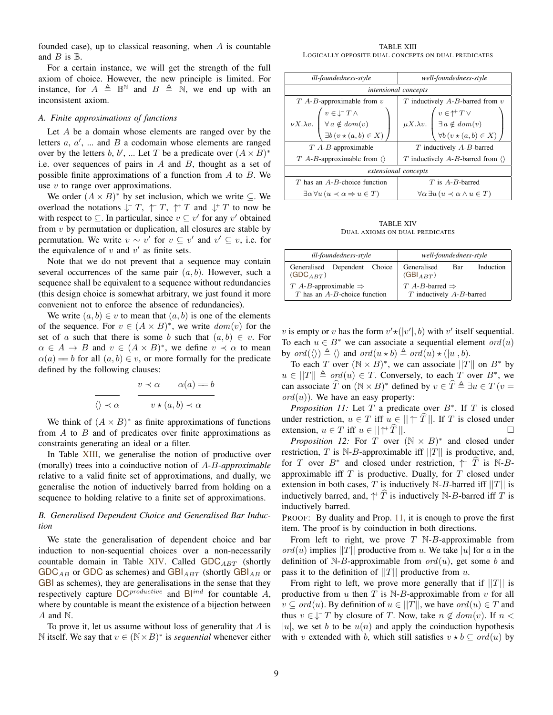founded case), up to classical reasoning, when  $A$  is countable and  $B$  is  $\mathbb{B}$ .

For a certain instance, we will get the strength of the full axiom of choice. However, the new principle is limited. For instance, for  $A \triangleq \mathbb{B}^{\mathbb{N}}$  and  $B \triangleq \mathbb{N}$ , we end up with an inconsistent axiom.

#### *A. Finite approximations of functions*

Let A be a domain whose elements are ranged over by the letters  $a, a', \dots$  and  $B$  a codomain whose elements are ranged over by the letters b, b', ... Let T be a predicate over  $(A \times B)^*$ i.e. over sequences of pairs in  $A$  and  $B$ , thought as a set of possible finite approximations of a function from  $A$  to  $B$ . We use  $v$  to range over approximations.

We order  $(A \times B)^*$  by set inclusion, which we write  $\subseteq$ . We overload the notations  $\downarrow$  - T,  $\uparrow$  T,  $\uparrow$  T and  $\downarrow$  + T to now be with respect to  $\subseteq$ . In particular, since  $v \subseteq v'$  for any v' obtained from  $v$  by permutation or duplication, all closures are stable by permutation. We write  $v \sim v'$  for  $v \subseteq v'$  and  $v' \subseteq v$ , i.e. for the equivalence of  $v$  and  $v'$  as finite sets.

Note that we do not prevent that a sequence may contain several occurrences of the same pair  $(a, b)$ . However, such a sequence shall be equivalent to a sequence without redundancies (this design choice is somewhat arbitrary, we just found it more convenient not to enforce the absence of redundancies).

We write  $(a, b) \in v$  to mean that  $(a, b)$  is one of the elements of the sequence. For  $v \in (A \times B)^*$ , we write  $dom(v)$  for the set of a such that there is some b such that  $(a, b) \in v$ . For  $\alpha \in A \to B$  and  $v \in (A \times B)^*$ , we define  $v \prec \alpha$  to mean  $\alpha(a) = b$  for all  $(a, b) \in v$ , or more formally for the predicate defined by the following clauses:

$$
\frac{v \prec \alpha \qquad \alpha(a) = b}{v \star (a, b) \prec \alpha}
$$

We think of  $(A \times B)^*$  as finite approximations of functions from  $A$  to  $B$  and of predicates over finite approximations as constraints generating an ideal or a filter.

In Table XIII, we generalise the notion of productive over (morally) trees into a coinductive notion of A*-*B*-approximable* relative to a valid finite set of approximations, and dually, we generalise the notion of inductively barred from holding on a sequence to holding relative to a finite set of approximations.

#### *B. Generalised Dependent Choice and Generalised Bar Induction*

We state the generalisation of dependent choice and bar induction to non-sequential choices over a non-necessarily countable domain in Table XIV. Called  $GDC_{ABT}$  (shortly  $GDC_{AB}$  or GDC as schemes) and  $GBI_{ABT}$  (shortly  $GBI_{AB}$  or GBI as schemes), they are generalisations in the sense that they respectively capture  $DC^{productive}$  and  $B^{ind}$  for countable A, where by countable is meant the existence of a bijection between A and N.

To prove it, let us assume without loss of generality that  $A$  is N itself. We say that  $v \in (N \times B)^*$  is *sequential* whenever either

TABLE XIII LOGICALLY OPPOSITE DUAL CONCEPTS ON DUAL PREDICATES

| ill-foundedness-style                                                                                                                   | well-foundedness-style                                                                                                                              |
|-----------------------------------------------------------------------------------------------------------------------------------------|-----------------------------------------------------------------------------------------------------------------------------------------------------|
|                                                                                                                                         |                                                                                                                                                     |
| intensional concepts                                                                                                                    |                                                                                                                                                     |
| $T$ A-B-approximable from $v$                                                                                                           | $T$ inductively $A-B$ -barred from $v$                                                                                                              |
| $\nu X.\lambda v. \begin{pmatrix} v\in\downarrow^- T\wedge \\ \forall\, a\notin dom(v) \\ \exists b\, (v\star(a,b)\in X) \end{pmatrix}$ | $\mu X. \lambda v. \begin{pmatrix} v \in \dagger^+ \, T \vee \\ \exists \, a \not\in \, dom(v) \\ \forall b \, (v \star (a,b) \in X) \end{pmatrix}$ |
|                                                                                                                                         |                                                                                                                                                     |
|                                                                                                                                         |                                                                                                                                                     |
| $T$ A-B-approximable                                                                                                                    | $T$ inductively $A-B$ -barred                                                                                                                       |
| $T$ A-B-approximable from $\langle \rangle$                                                                                             | T inductively A-B-barred from $\langle \rangle$                                                                                                     |
| extensional concepts                                                                                                                    |                                                                                                                                                     |
| $T$ has an $A-B$ -choice function                                                                                                       | $T$ is $A-B$ -barred                                                                                                                                |
| $\exists \alpha \forall u (u \prec \alpha \Rightarrow u \in T)$                                                                         | $\forall \alpha \exists u \, (u \prec \alpha \land u \in T)$                                                                                        |

TABLE XIV DUAL AXIOMS ON DUAL PREDICATES

| ill-foundedness-style                                                   | well-foundedness-style                                        |
|-------------------------------------------------------------------------|---------------------------------------------------------------|
| Generalised Dependent Choice<br>$(GDC_{ART})$                           | Induction<br>Generalised<br>Bar<br>$(GBI_{ABT})$              |
| $T$ A-B-approximable $\Rightarrow$<br>$T$ has an $A-B$ -choice function | $T$ A-B-barred $\Rightarrow$<br>$T$ inductively $A-B$ -barred |

v is empty or v has the form  $v' \star (|v'|, b)$  with v' itself sequential. To each  $u \in B^*$  we can associate a sequential element  $ord(u)$ by  $ord(\langle \rangle) \triangleq \langle \rangle$  and  $ord(u * b) \triangleq ord(u) * (|u|, b).$ 

To each T over  $(N \times B)^*$ , we can associate  $||T||$  on  $B^*$  by  $u \in ||T|| \triangleq ord(u) \in T$ . Conversely, to each T over  $B^*$ , we can associate  $\widehat{T}$  on  $(N \times B)^*$  defined by  $v \in \widehat{T} \triangleq \exists u \in T$  ( $v =$  $\text{ord}(u)$ ). We have an easy property:

*Proposition 11:* Let  $T$  a predicate over  $B^*$ . If  $T$  is closed under restriction,  $u \in T$  iff  $u \in ||\uparrow T||$ . If T is closed under extension  $u \in T$  iff  $u \in ||\uparrow \hat{T}||$ extension,  $u \in T$  iff  $u \in ||\Uparrow T||$ .

*Proposition 12:* For T over  $(N \times B)^*$  and closed under restriction, T is N-B-approximable iff  $||T||$  is productive, and, for T over  $B^*$  and closed under restriction,  $\uparrow \hat{T}$  is N-Bapproximable iff  $T$  is productive. Dually, for  $T$  closed under extension in both cases, T is inductively  $N-B$ -barred iff  $||T||$  is inductively barred, and,  $\uparrow \hat{T}$  is inductively N-B-barred iff T is inductively barred.

PROOF: By duality and Prop. 11, it is enough to prove the first item. The proof is by coinduction in both directions.

From left to right, we prove  $T \mathbb{N}$ -B-approximable from  $\text{ord}(u)$  implies ||T|| productive from u. We take |u| for a in the definition of N-B-approximable from  $ord(u)$ , get some b and pass it to the definition of  $||T||$  productive from u.

From right to left, we prove more generally that if  $||T||$  is productive from  $u$  then  $T$  is N-B-approximable from  $v$  for all  $v \subseteq ord(u)$ . By definition of  $u \in ||T||$ , we have  $ord(u) \in T$  and thus  $v \in \sqrt{-T}$  by closure of T. Now, take  $n \notin dom(v)$ . If  $n <$ |u|, we set b to be  $u(n)$  and apply the coinduction hypothesis with v extended with b, which still satisfies  $v * b \subseteq ord(u)$  by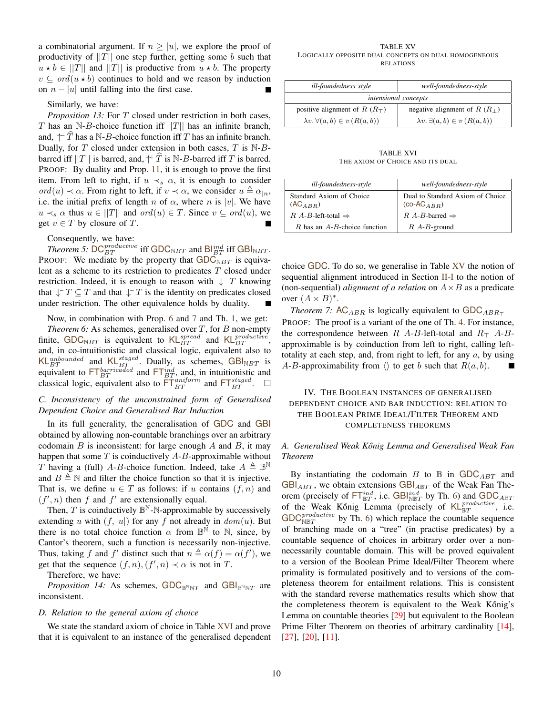a combinatorial argument. If  $n \geq |u|$ , we explore the proof of productivity of  $||T||$  one step further, getting some b such that  $u * b \in ||T||$  and  $||T||$  is productive from  $u * b$ . The property  $v \subseteq ord(u * b)$  continues to hold and we reason by induction on  $n - |u|$  until falling into the first case.

#### Similarly, we have:

*Proposition 13:* For T closed under restriction in both cases, T has an N-B-choice function iff  $||T||$  has an infinite branch, and,  $\uparrow \hat{T}$  has a N-B-choice function iff T has an infinite branch. Dually, for  $T$  closed under extension in both cases,  $T$  is  $N-B$ barred iff  $||T||$  is barred, and,  $\uparrow \hat{T}$  is N-B-barred iff T is barred. PROOF: By duality and Prop. 11, it is enough to prove the first item. From left to right, if  $u \prec_s \alpha$ , it is enough to consider ord(u)  $\prec \alpha$ . From right to left, if  $v \prec \alpha$ , we consider  $u \triangleq \alpha_{\mid n}$ , i.e. the initial prefix of length n of  $\alpha$ , where n is |v|. We have  $u \prec_s \alpha$  thus  $u \in ||T||$  and  $ord(u) \in T$ . Since  $v \subseteq ord(u)$ , we get  $v \in T$  by closure of T.

#### Consequently, we have:

*Theorem 5:*  $DC_{BT}^{productive}$  iff  $GDC_{NBT}$  and  $Bl_{BT}^{ind}$  iff  $GBI_{NBT}$ . PROOF: We mediate by the property that  $GDC_{NBT}$  is equivalent as a scheme to its restriction to predicates  $T$  closed under restriction. Indeed, it is enough to reason with  $\downarrow$  T knowing that  $\downarrow$ <sup>-</sup>  $T \subseteq T$  and that  $\downarrow$ <sup>-</sup>  $T$  is the identity on predicates closed under restriction. The other equivalence holds by duality.

Now, in combination with Prop. 6 and 7 and Th. 1, we get: *Theorem 6:* As schemes, generalised over  $T$ , for  $B$  non-empty finite, GDC<sub>NBT</sub> is equivalent to  $\mathsf{KL}_{BT}^{spread}$  and  $\mathsf{KL}_{BT}^{productive}$ , and, in co-intuitionistic and classical logic, equivalent also to KLunbounded and KL $_{BT}^{staged}$ . Dually, as schemes, GBI<sub>NBT</sub> is equivalent to  $\mathsf{FT}_{BT}^{baricated}$  and  $\mathsf{FT}_{BT}^{ind}$ , and, in intuitionistic and classical logic, equivalent also to  $\overline{\text{FT}}_{BT}^{uniform}$  and  $\overline{\text{FT}}_{BT}^{staged}$ .  $\Box$ 

#### *C. Inconsistency of the unconstrained form of Generalised Dependent Choice and Generalised Bar Induction*

In its full generality, the generalisation of GDC and GBI obtained by allowing non-countable branchings over an arbitrary codomain  $B$  is inconsistent: for large enough  $A$  and  $B$ , it may happen that some  $T$  is coinductively  $A-B$ -approximable without T having a (full) A-B-choice function. Indeed, take  $A \triangleq \mathbb{B}^{\mathbb{N}}$ and  $B \triangleq \mathbb{N}$  and filter the choice function so that it is injective. That is, we define  $u \in T$  as follows: if u contains  $(f, n)$  and  $(f', n)$  then f and f' are extensionally equal.

Then,  $T$  is coinductively  $\mathbb{B}^{\mathbb{N}}$ -N-approximable by successively extending u with  $(f, |u|)$  for any f not already in  $dom(u)$ . But there is no total choice function  $\alpha$  from  $\mathbb{B}^{\mathbb{N}}$  to  $\mathbb{N}$ , since, by Cantor's theorem, such a function is necessarily non-injective. Thus, taking f and f' distinct such that  $n \triangleq \alpha(f) = \alpha(f')$ , we get that the sequence  $(f, n), (f', n) \prec \alpha$  is not in T.

Therefore, we have:

*Proposition 14:* As schemes,  $GDC_{\mathbb{B}^N\mathbb{N}T}$  and  $GBI_{\mathbb{B}^N\mathbb{N}T}$  are inconsistent.

#### *D. Relation to the general axiom of choice*

We state the standard axiom of choice in Table XVI and prove that it is equivalent to an instance of the generalised dependent

TABLE XV LOGICALLY OPPOSITE DUAL CONCEPTS ON DUAL HOMOGENEOUS RELATIONS

| ill-foundedness style                       | well-foundedness-style                      |
|---------------------------------------------|---------------------------------------------|
| intensional concepts                        |                                             |
| positive alignment of R $(RT)$              | negative alignment of $R(R_+)$              |
| $\lambda v. \forall (a, b) \in v (R(a, b))$ | $\lambda v. \exists (a, b) \in v (R(a, b))$ |

TABLE XVI THE AXIOM OF CHOICE AND ITS DUAL

| ill-foundedness-style                    | well-foundedness-style                              |
|------------------------------------------|-----------------------------------------------------|
| Standard Axiom of Choice<br>$(AC_{ABB})$ | Dual to Standard Axiom of Choice<br>$(co-AC_{ABR})$ |
| $R$ A-B-left-total $\Rightarrow$         | R A-B-barred $\Rightarrow$                          |
| $R$ has an $A$ - $B$ -choice function    | $R$ A- $B$ -ground                                  |

choice GDC. To do so, we generalise in Table XV the notion of sequential alignment introduced in Section II-I to the notion of (non-sequential) *alignment of a relation* on  $A \times B$  as a predicate over  $(A \times B)^*$ .

*Theorem 7:* AC<sub>ABR</sub> is logically equivalent to  $GDC_{ABR_T}$ PROOF: The proof is a variant of the one of Th. 4. For instance, the correspondence between R A-B-left-total and  $R_{\perp}$  A-Bapproximable is by coinduction from left to right, calling lefttotality at each step, and, from right to left, for any  $a$ , by using A-B-approximability from  $\langle \rangle$  to get b such that  $R(a, b)$ .

#### IV. THE BOOLEAN INSTANCES OF GENERALISED DEPENDENT CHOICE AND BAR INDUCTION: RELATION TO THE BOOLEAN PRIME IDEAL/FILTER THEOREM AND COMPLETENESS THEOREMS

#### *A. Generalised Weak K ˝onig Lemma and Generalised Weak Fan Theorem*

By instantiating the codomain B to  $\mathbb B$  in GDC<sub>ABT</sub> and  $GBI_{ABT}$ , we obtain extensions  $GBI_{ABT}$  of the Weak Fan Theorem (precisely of  $\mathsf{FT}^{ind}_{\mathbb{B}T}$ , i.e.  $\mathsf{GBI}^{ind}_{\mathbb{N}\mathbb{B}T}$  by Th. 6) and  $\mathsf{GDC}_{A\mathbb{B}T}$ of the Weak Kőnig Lemma (precisely of  $KL_{\mathbb{B}T}^{productive}$ , i.e.  $\text{GDC}_{\text{NET}}^{productive}$  by Th. 6) which replace the countable sequence of branching made on a "tree" (in practise predicates) by a countable sequence of choices in arbitrary order over a nonnecessarily countable domain. This will be proved equivalent to a version of the Boolean Prime Ideal/Filter Theorem where primality is formulated positively and to versions of the completeness theorem for entailment relations. This is consistent with the standard reverse mathematics results which show that the completeness theorem is equivalent to the Weak Kőnig's Lemma on countable theories [29] but equivalent to the Boolean Prime Filter Theorem on theories of arbitrary cardinality [14], [27], [20], [11].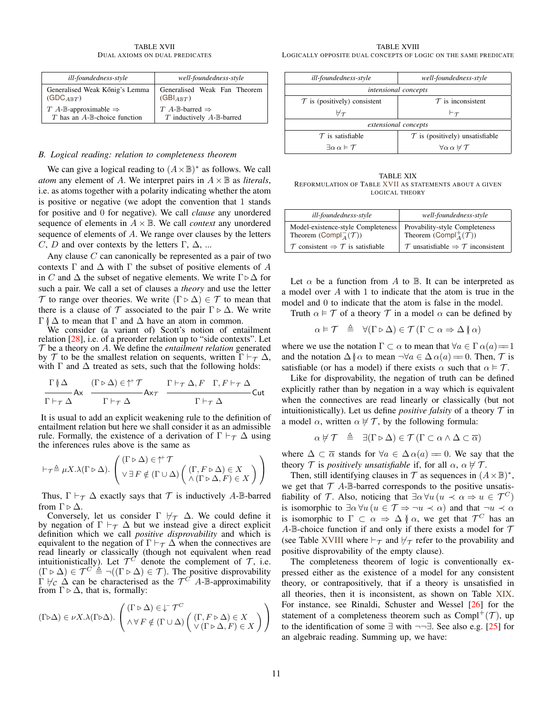TABLE XVII DUAL AXIOMS ON DUAL PREDICATES

| ill-foundedness-style                          | well-foundedness-style                     |
|------------------------------------------------|--------------------------------------------|
| Generalised Weak Kőnig's Lemma                 | Generalised Weak Fan Theorem               |
| $(GDC_{A\mathbb{R}T})$                         | $(GBI_{ABT})$                              |
| $T$ A-B-approximable $\Rightarrow$             | $T$ A-B-barred $\Rightarrow$               |
| $T$ has an $A$ - $\mathbb{B}$ -choice function | $T$ inductively $A$ - $\mathbb{B}$ -barred |

#### *B. Logical reading: relation to completeness theorem*

We can give a logical reading to  $(A \times \mathbb{B})^*$  as follows. We call *atom* any element of A. We interpret pairs in  $A \times \mathbb{B}$  as *literals*, i.e. as atoms together with a polarity indicating whether the atom is positive or negative (we adopt the convention that 1 stands for positive and 0 for negative). We call *clause* any unordered sequence of elements in  $A \times \mathbb{B}$ . We call *context* any unordered sequence of elements of A. We range over clauses by the letters C, D and over contexts by the letters  $\Gamma$ ,  $\Delta$ , ...

Any clause  $C$  can canonically be represented as a pair of two contexts  $\Gamma$  and  $\Delta$  with  $\Gamma$  the subset of positive elements of A in C and  $\Delta$  the subset of negative elements. We write  $\Gamma \triangleright \Delta$  for such a pair. We call a set of clauses a *theory* and use the letter T to range over theories. We write  $(\Gamma \triangleright \Delta) \in \mathcal{T}$  to mean that there is a clause of  $\mathcal T$  associated to the pair  $\Gamma \triangleright \Delta$ . We write  $\Gamma$  ( $\Delta$  to mean that  $\Gamma$  and  $\Delta$  have an atom in common.

We consider (a variant of) Scott's notion of entailment relation [28], i.e. of a preorder relation up to "side contexts". Let  $\mathcal T$  be a theory on  $A$ . We define the *entailment relation* generated by T to be the smallest relation on sequents, written  $\Gamma \vdash_{\tau} \Delta$ , with  $\Gamma$  and  $\Delta$  treated as sets, such that the following holds:

$$
\frac{\Gamma(\varphi \Delta)}{\Gamma \vdash_{\tau} \Delta} Ax \quad \frac{(\Gamma \triangleright \Delta) \in \uparrow^{+}\mathcal{T}}{\Gamma \vdash_{\tau} \Delta} Ax_{\mathcal{T}} \quad \frac{\Gamma \vdash_{\tau} \Delta, F \quad \Gamma, F \vdash_{\tau} \Delta}{\Gamma \vdash_{\tau} \Delta} Cut
$$

It is usual to add an explicit weakening rule to the definition of entailment relation but here we shall consider it as an admissible rule. Formally, the existence of a derivation of  $\Gamma \vdash_{\tau} \Delta$  using the inferences rules above is the same as

$$
\vdash_{\mathcal{T}} \triangleq \mu X. \lambda(\Gamma \triangleright \Delta). \left( (\Gamma \triangleright \Delta) \in \uparrow^{\!+} \mathcal{T} \setminus (\Gamma, F \triangleright \Delta) \in X \setminus (\Delta) (\Gamma, F \triangleright \Delta) \in X \setminus (\Delta) (\Gamma \triangleright \Delta, F) \in X) \right)
$$

Thus,  $\Gamma \vdash_{\mathcal{T}} \Delta$  exactly says that  $\mathcal T$  is inductively A-B-barred from  $\Gamma \triangleright \Delta$ .

Conversely, let us consider  $\Gamma \not\vdash_{\mathcal{T}} \Delta$ . We could define it by negation of  $\Gamma \vdash_{\tau} \Delta$  but we instead give a direct explicit definition which we call *positive disprovability* and which is equivalent to the negation of  $\Gamma \vdash_{\tau} \Delta$  when the connectives are read linearly or classically (though not equivalent when read intuitionistically). Let  $\mathcal{T}^C$  denote the complement of  $\mathcal{T}$ , i.e.  $(\Gamma \triangleright \Delta) \in \mathcal{T}^C \triangleq \neg((\Gamma \triangleright \Delta) \in \mathcal{T})$ . The positive disprovability  $\Gamma \nvDash_{\mathcal{C}} \Delta$  can be characterised as the  $\mathcal{T}^{\mathcal{C}}$  A-B-approximability from  $\Gamma \triangleright \Delta$ , that is, formally:

$$
(\Gamma \triangleright \Delta) \in \nu X. \lambda (\Gamma \triangleright \Delta). \left( \begin{matrix} (\Gamma \triangleright \Delta) \in \downarrow^{\!-} \mathcal{T}^C \\[.5em] \wedge \forall \, F \notin (\Gamma \cup \Delta) \left( \begin{matrix} (\Gamma, F \triangleright \Delta) \in X \\[.5em] \vee (\Gamma \triangleright \Delta, F) \in X \end{matrix} \right) \right)
$$

| ill-foundedness-style                       | well-foundedness-style                            |
|---------------------------------------------|---------------------------------------------------|
| <i>intensional concepts</i>                 |                                                   |
| $\mathcal T$ is (positively) consistent     | $\tau$ is inconsistent                            |
| $\not\vdash_{\mathcal{T}}$                  | $\vdash_{\mathcal{T}}$                            |
| extensional concepts                        |                                                   |
| $\tau$ is satisfiable                       | $\mathcal T$ is (positively) unsatisfiable        |
| $\exists \alpha \alpha \models \mathcal{T}$ | $\forall \alpha \, \alpha \not\vdash \mathcal{T}$ |

TABLE XIX REFORMULATION OF TABLE XVII AS STATEMENTS ABOUT A GIVEN LOGICAL THEORY

| ill-foundedness-style                                                               | well-foundedness-style                                                                |
|-------------------------------------------------------------------------------------|---------------------------------------------------------------------------------------|
| Model-existence-style Completeness<br>Theorem (Compl <sub>A</sub> $(\mathcal{T})$ ) | Provability-style Completeness<br>Theorem (Compl <sup>+</sup> $(\vec{\mathcal{T}})$ ) |
| $\mathcal T$ consistent $\Rightarrow \mathcal T$ is satisfiable                     | $\mathcal T$ unsatisfiable $\Rightarrow \mathcal T$ inconsistent                      |

Let  $\alpha$  be a function from A to B. It can be interpreted as a model over A with 1 to indicate that the atom is true in the model and 0 to indicate that the atom is false in the model.

Truth  $\alpha \models \mathcal{T}$  of a theory  $\mathcal{T}$  in a model  $\alpha$  can be defined by

$$
\alpha \models \mathcal{T} \quad \triangleq \quad \forall (\Gamma \triangleright \Delta) \in \mathcal{T} \, (\Gamma \subset \alpha \Rightarrow \Delta \, \mathcal{U} \, \alpha)
$$

where we use the notation  $\Gamma \subset \alpha$  to mean that  $\forall a \in \Gamma \alpha(a) = 1$ and the notation  $\Delta \uparrow \alpha$  to mean  $\neg \forall a \in \Delta \alpha(a) = 0$ . Then,  $\mathcal T$  is satisfiable (or has a model) if there exists  $\alpha$  such that  $\alpha \models \mathcal{T}$ .

Like for disprovability, the negation of truth can be defined explicitly rather than by negation in a way which is equivalent when the connectives are read linearly or classically (but not intuitionistically). Let us define *positive falsity* of a theory  $\mathcal T$  in a model  $\alpha$ , written  $\alpha \neq \mathcal{T}$ , by the following formula:

$$
\alpha \not\vdash \mathcal{T} \triangleq \exists (\Gamma \triangleright \Delta) \in \mathcal{T} (\Gamma \subset \alpha \wedge \Delta \subset \overline{\alpha})
$$

where  $\Delta \subset \overline{\alpha}$  stands for  $\forall a \in \Delta \alpha(a) = 0$ . We say that the theory T is *positively unsatisfiable* if, for all  $\alpha$ ,  $\alpha \not\vdash T$ .

Then, still identifying clauses in  $\mathcal T$  as sequences in  $(A \times \mathbb{B})^*$ , we get that  $\mathcal T$  A-B-barred corresponds to the positive unsatisfiability of T. Also, noticing that  $\exists \alpha \forall u \ (u \prec \alpha \Rightarrow u \in \mathcal{T}^C)$ is isomorphic to  $\exists \alpha \forall u \ (u \in \mathcal{T} \Rightarrow \neg u \prec \alpha)$  and that  $\neg u \prec \alpha$ is isomorphic to  $\Gamma \subset \alpha \Rightarrow \Delta \nmid \alpha$ , we get that  $\mathcal{T}^C$  has an A-B-choice function if and only if there exists a model for  $\mathcal T$ (see Table XVIII where  $\vdash_{\mathcal{T}}$  and  $\nvdash_{\mathcal{T}}$  refer to the provability and positive disprovability of the empty clause).

The completeness theorem of logic is conventionally expressed either as the existence of a model for any consistent theory, or contrapositively, that if a theory is unsatisfied in all theories, then it is inconsistent, as shown on Table XIX. For instance, see Rinaldi, Schuster and Wessel [26] for the statement of a completeness theorem such as  $Compl^+(\mathcal{T})$ , up to the identification of some ∃ with ¬¬∃. See also e.g. [25] for an algebraic reading. Summing up, we have: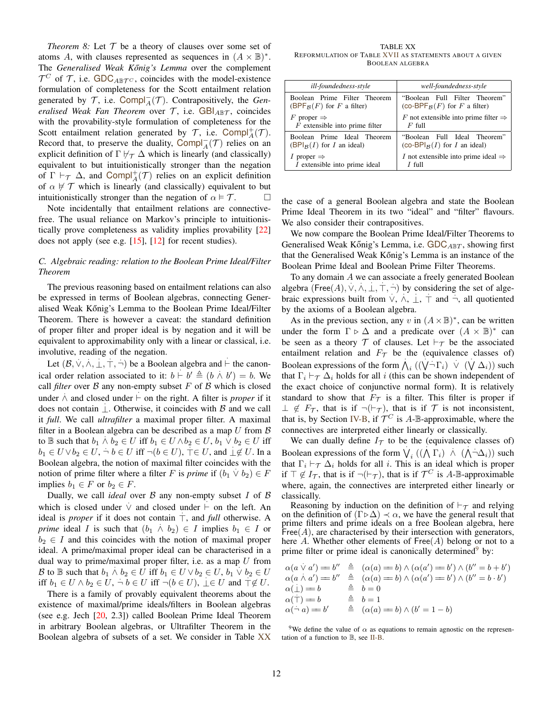*Theorem 8:* Let  $T$  be a theory of clauses over some set of atoms A, with clauses represented as sequences in  $(A \times \mathbb{B})^*$ . The *Generalised Weak Kőnig's Lemma* over the complement  $\mathcal{T}^C$  of  $\mathcal{T}$ , i.e. GDC<sub>ABT</sub> $c$ , coincides with the model-existence formulation of completeness for the Scott entailment relation generated by  $\mathcal{T}$ , i.e. Compl<sub>A</sub> $(\mathcal{T})$ . Contrapositively, the *Generalised Weak Fan Theorem* over T, i.e.  $GBI_{ABT}$ , coincides with the provability-style formulation of completeness for the Scott entailment relation generated by  $\mathcal{T}$ , i.e. Compl $^{\dagger}_{A}(\mathcal{T})$ . Record that, to preserve the duality, Compl<sub>A</sub> $(T)$  relies on an explicit definition of  $\Gamma \not\vdash_{\tau} \Delta$  which is linearly (and classically) equivalent to but intuitionistically stronger than the negation of  $\Gamma \vdash_{\mathcal{T}} \Delta$ , and Compl<sup>+</sup> $(\mathcal{T})$  relies on an explicit definition of  $\alpha \not\vdash \mathcal{T}$  which is linearly (and classically) equivalent to but intuitionistically stronger than the negation of  $\alpha \models \mathcal{T}$ .

Note incidentally that entailment relations are connectivefree. The usual reliance on Markov's principle to intuitionistically prove completeness as validity implies provability [22] does not apply (see e.g. [15], [12] for recent studies).

#### *C. Algebraic reading: relation to the Boolean Prime Ideal/Filter Theorem*

The previous reasoning based on entailment relations can also be expressed in terms of Boolean algebras, connecting Generalised Weak Kőnig's Lemma to the Boolean Prime Ideal/Filter Theorem. There is however a caveat: the standard definition of proper filter and proper ideal is by negation and it will be equivalent to approximability only with a linear or classical, i.e. involutive, reading of the negation.

Let  $(\mathcal{B}, \vee, \wedge, \bot, \top, \neg)$  be a Boolean algebra and  $\vdash$  the canonical order relation associated to it:  $b \vdash b' \triangleq (b \land b') = b$ . We call *filter* over  $B$  any non-empty subset  $F$  of  $B$  which is closed under  $\dot{\wedge}$  and closed under  $\vdash$  on the right. A filter is *proper* if it  $\alpha$  and closed and  $\alpha$  is the right. A line is proper if the does not contain  $\bot$ . Otherwise, it coincides with B and we call it *full*. We call *ultrafilter* a maximal proper filter. A maximal filter in a Boolean algebra can be described as a map  $U$  from  $\beta$ to  $\mathbb B$  such that  $b_1 \wedge b_2 \in U$  iff  $b_1 \in U \wedge b_2 \in U$ ,  $b_1 \vee b_2 \in U$  iff  $b_1 \in U \vee b_2 \in U$ ,  $\neg b \in U$  iff  $\neg (b \in U)$ ,  $\top \in U$ , and  $\bot \notin U$ . In a Boolean algebra, the notion of maximal filter coincides with the . notion of prime filter where a filter F is *prime* if  $(b_1 \vee b_2) \in F$ implies  $b_1 \in F$  or  $b_2 \in F$ .

Dually, we call *ideal* over  $\beta$  any non-empty subset  $I$  of  $\beta$ which is closed under  $\vee$  and closed under  $\vdash$  on the left. An ideal is *proper* if it does not contain  $\top$ , and *full* otherwise. A *prime* ideal *I* is such that  $(b_1 \land b_2) \in I$  implies  $b_1 \in I$  or  $b_2 \in I$  and this coincides with the notion of maximal proper ideal. A prime/maximal proper ideal can be characterised in a dual way to prime/maximal proper filter, i.e. as a map  $U$  from B to  $\mathbb B$  such that  $b_1 \wedge b_2 \in U$  iff  $b_1 \in U \vee b_2 \in U$ ,  $b_1 \vee b_2 \in U$ iff  $b_1 \in U \wedge b_2 \in U$ ,  $\neg b \in U$  iff  $\neg (b \in U)$ ,  $\bot \in U$  and  $\neg \not\in U$ .

There is a family of provably equivalent theorems about the existence of maximal/prime ideals/filters in Boolean algebras (see e.g. Jech [20, 2.3]) called Boolean Prime Ideal Theorem in arbitrary Boolean algebras, or Ultrafilter Theorem in the Boolean algebra of subsets of a set. We consider in Table XX

TABLE XX REFORMULATION OF TABLE XVII AS STATEMENTS ABOUT A GIVEN BOOLEAN ALGEBRA

| ill-foundedness-style            | well-foundedness-style                                       |
|----------------------------------|--------------------------------------------------------------|
| Boolean Prime Filter Theorem     | "Boolean Full Filter Theorem"                                |
| $(BPFB(F)$ for F a filter)       | (co-BPF <sub><math>\kappa</math></sub> $(F)$ for F a filter) |
| F proper $\Rightarrow$           | F not extensible into prime filter $\Rightarrow$             |
| $F$ extensible into prime filter | $F$ full                                                     |
| Boolean Prime Ideal Theorem      | "Boolean Full Ideal Theorem"                                 |
| $(BPIB(I)$ for I an ideal)       | (co-BPI <sub>B</sub> $(I)$ for I an ideal)                   |
| 1 proper $\Rightarrow$           | I not extensible into prime ideal $\Rightarrow$              |
| I extensible into prime ideal    | $I$ full                                                     |

the case of a general Boolean algebra and state the Boolean Prime Ideal Theorem in its two "ideal" and "filter" flavours. We also consider their contrapositives.

We now compare the Boolean Prime Ideal/Filter Theorems to Generalised Weak Kőnig's Lemma, i.e.  $GDC_{ABT}$ , showing first that the Generalised Weak Kőnig's Lemma is an instance of the Boolean Prime Ideal and Boolean Prime Filter Theorems.

To any domain A we can associate a freely generated Boolean algebra (Free(A),  $\vee$ ,  $\wedge$ ,  $\perp$ ,  $\top$ ,  $\neg$ ) by considering the set of algebraic expressions built from  $\vee$ ,  $\wedge$ ,  $\perp$ ,  $\top$  and  $\neg$ , all quotiented by the axioms of a Boolean algebra.

As in the previous section, any v in  $(A \times \mathbb{B})^*$ , can be written under the form  $\Gamma \triangleright \Delta$  and a predicate over  $(A \times \mathbb{B})^*$  can be seen as a theory  $T$  of clauses. Let  $\vdash_T$  be the associated entailment relation and  $F_{\mathcal{T}}$  be the (equivalence classes of) Boolean expressions of the form  $\bigwedge_i ((\bigvee \neg \Gamma_i) \vee (\bigvee \Delta_i))$  such that  $\Gamma_i \vdash_{\mathcal{T}} \Delta_i$  holds for all i (this can be shown independent of the exact choice of conjunctive normal form). It is relatively standard to show that  $F_{\tau}$  is a filter. This filter is proper if  $\perp \notin F_{\mathcal{T}}$ , that is if  $\neg(\vdash_{\mathcal{T}})$ , that is if  $\mathcal{T}$  is not inconsistent, that is, by Section IV-B, if  $\mathcal{T}^C$  is A-B-approximable, where the connectives are interpreted either linearly or classically.

We can dually define  $I_{\mathcal{T}}$  to be the (equivalence classes of) Boolean expressions of the form  $V_i$  ( $(\Lambda \Gamma_i) \wedge (\Lambda \neg \Delta_i)$ ) such that  $\Gamma_i \vdash_{\mathcal{T}} \Delta_i$  holds for all i. This is an ideal which is proper if  $\top \notin I_{\mathcal{T}}$ , that is if  $\neg(\vdash_{\mathcal{T}})$ , that is if  $\mathcal{T}^C$  is A-B-approximable where, again, the connectives are interpreted either linearly or classically.

Reasoning by induction on the definition of  $\vdash_{\mathcal{T}}$  and relying on the definition of  $(Γ\triangleright Δ) \prec α$ , we have the general result that prime filters and prime ideals on a free Boolean algebra, here Free $(A)$ , are characterised by their intersection with generators, here A. Whether other elements of  $Free(A)$  belong or not to a prime filter or prime ideal is canonically determined $9$  by:

$$
\alpha(a \vee a') = b'' \triangleq (\alpha(a) = b) \wedge (\alpha(a') = b') \wedge (b'' = b + b')
$$
  
\n
$$
\alpha(a \wedge a') = b'' \triangleq (\alpha(a) = b) \wedge (\alpha(a') = b') \wedge (b'' = b \cdot b')
$$
  
\n
$$
\alpha(\bot) = b \triangleq b = 0
$$
  
\n
$$
\alpha(\top) = b \triangleq b = 1
$$
  
\n
$$
\alpha(\neg a) = b' \triangleq (\alpha(a) = b) \wedge (b' = 1 - b)
$$

<sup>9</sup>We define the value of  $\alpha$  as equations to remain agnostic on the representation of a function to B, see II-B.